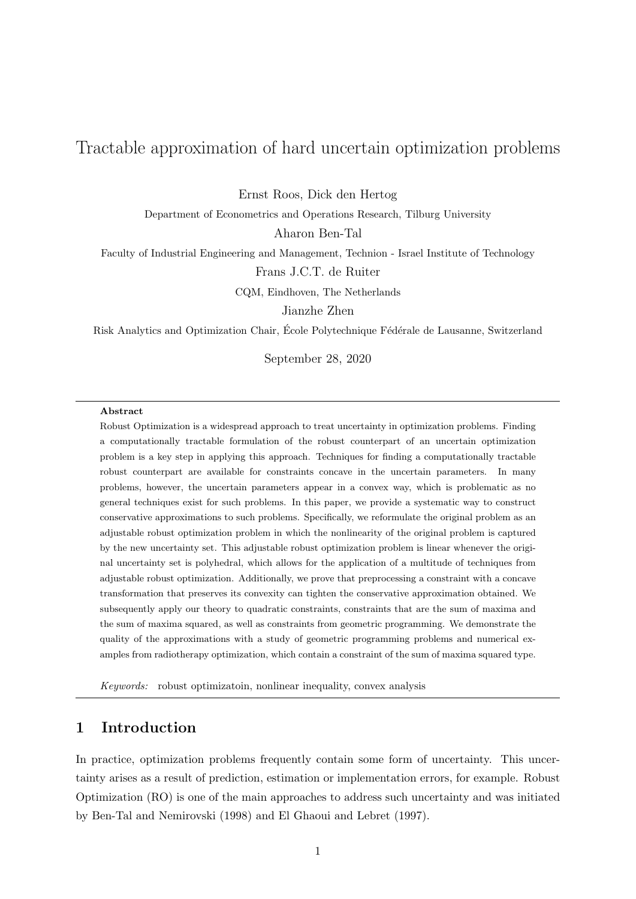# Tractable approximation of hard uncertain optimization problems

Ernst Roos, Dick den Hertog

Department of Econometrics and Operations Research, Tilburg University

Aharon Ben-Tal

Faculty of Industrial Engineering and Management, Technion - Israel Institute of Technology Frans J.C.T. de Ruiter

CQM, Eindhoven, The Netherlands

Jianzhe Zhen

Risk Analytics and Optimization Chair, École Polytechnique Fédérale de Lausanne, Switzerland

September 28, 2020

#### Abstract

Robust Optimization is a widespread approach to treat uncertainty in optimization problems. Finding a computationally tractable formulation of the robust counterpart of an uncertain optimization problem is a key step in applying this approach. Techniques for finding a computationally tractable robust counterpart are available for constraints concave in the uncertain parameters. In many problems, however, the uncertain parameters appear in a convex way, which is problematic as no general techniques exist for such problems. In this paper, we provide a systematic way to construct conservative approximations to such problems. Specifically, we reformulate the original problem as an adjustable robust optimization problem in which the nonlinearity of the original problem is captured by the new uncertainty set. This adjustable robust optimization problem is linear whenever the original uncertainty set is polyhedral, which allows for the application of a multitude of techniques from adjustable robust optimization. Additionally, we prove that preprocessing a constraint with a concave transformation that preserves its convexity can tighten the conservative approximation obtained. We subsequently apply our theory to quadratic constraints, constraints that are the sum of maxima and the sum of maxima squared, as well as constraints from geometric programming. We demonstrate the quality of the approximations with a study of geometric programming problems and numerical examples from radiotherapy optimization, which contain a constraint of the sum of maxima squared type.

Keywords: robust optimizatoin, nonlinear inequality, convex analysis

## 1 Introduction

In practice, optimization problems frequently contain some form of uncertainty. This uncertainty arises as a result of prediction, estimation or implementation errors, for example. Robust Optimization (RO) is one of the main approaches to address such uncertainty and was initiated by Ben-Tal and Nemirovski (1998) and El Ghaoui and Lebret (1997).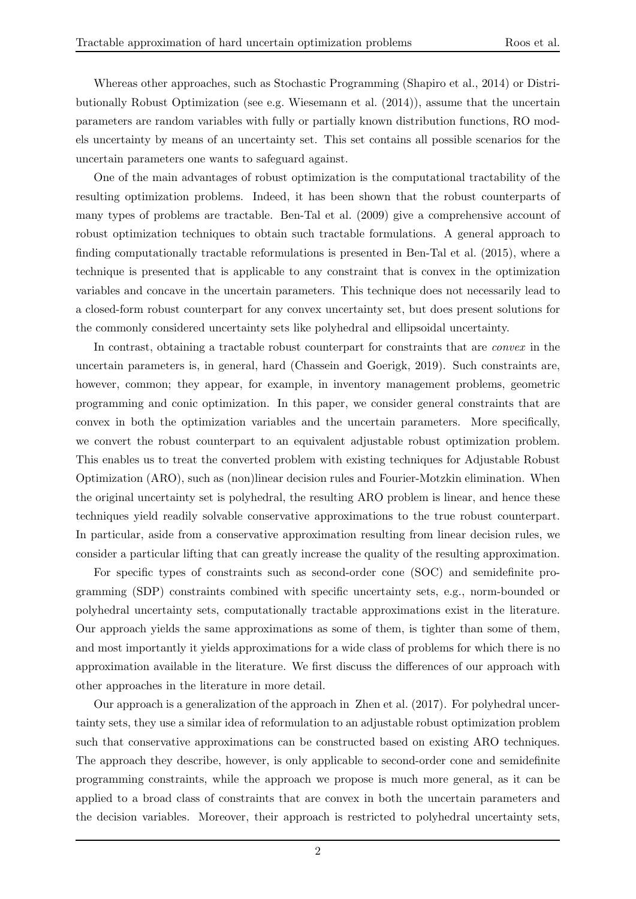Whereas other approaches, such as Stochastic Programming (Shapiro et al., 2014) or Distributionally Robust Optimization (see e.g. Wiesemann et al. (2014)), assume that the uncertain parameters are random variables with fully or partially known distribution functions, RO models uncertainty by means of an uncertainty set. This set contains all possible scenarios for the uncertain parameters one wants to safeguard against.

One of the main advantages of robust optimization is the computational tractability of the resulting optimization problems. Indeed, it has been shown that the robust counterparts of many types of problems are tractable. Ben-Tal et al. (2009) give a comprehensive account of robust optimization techniques to obtain such tractable formulations. A general approach to finding computationally tractable reformulations is presented in Ben-Tal et al. (2015), where a technique is presented that is applicable to any constraint that is convex in the optimization variables and concave in the uncertain parameters. This technique does not necessarily lead to a closed-form robust counterpart for any convex uncertainty set, but does present solutions for the commonly considered uncertainty sets like polyhedral and ellipsoidal uncertainty.

In contrast, obtaining a tractable robust counterpart for constraints that are convex in the uncertain parameters is, in general, hard (Chassein and Goerigk, 2019). Such constraints are, however, common; they appear, for example, in inventory management problems, geometric programming and conic optimization. In this paper, we consider general constraints that are convex in both the optimization variables and the uncertain parameters. More specifically, we convert the robust counterpart to an equivalent adjustable robust optimization problem. This enables us to treat the converted problem with existing techniques for Adjustable Robust Optimization (ARO), such as (non)linear decision rules and Fourier-Motzkin elimination. When the original uncertainty set is polyhedral, the resulting ARO problem is linear, and hence these techniques yield readily solvable conservative approximations to the true robust counterpart. In particular, aside from a conservative approximation resulting from linear decision rules, we consider a particular lifting that can greatly increase the quality of the resulting approximation.

For specific types of constraints such as second-order cone (SOC) and semidefinite programming (SDP) constraints combined with specific uncertainty sets, e.g., norm-bounded or polyhedral uncertainty sets, computationally tractable approximations exist in the literature. Our approach yields the same approximations as some of them, is tighter than some of them, and most importantly it yields approximations for a wide class of problems for which there is no approximation available in the literature. We first discuss the differences of our approach with other approaches in the literature in more detail.

Our approach is a generalization of the approach in Zhen et al. (2017). For polyhedral uncertainty sets, they use a similar idea of reformulation to an adjustable robust optimization problem such that conservative approximations can be constructed based on existing ARO techniques. The approach they describe, however, is only applicable to second-order cone and semidefinite programming constraints, while the approach we propose is much more general, as it can be applied to a broad class of constraints that are convex in both the uncertain parameters and the decision variables. Moreover, their approach is restricted to polyhedral uncertainty sets,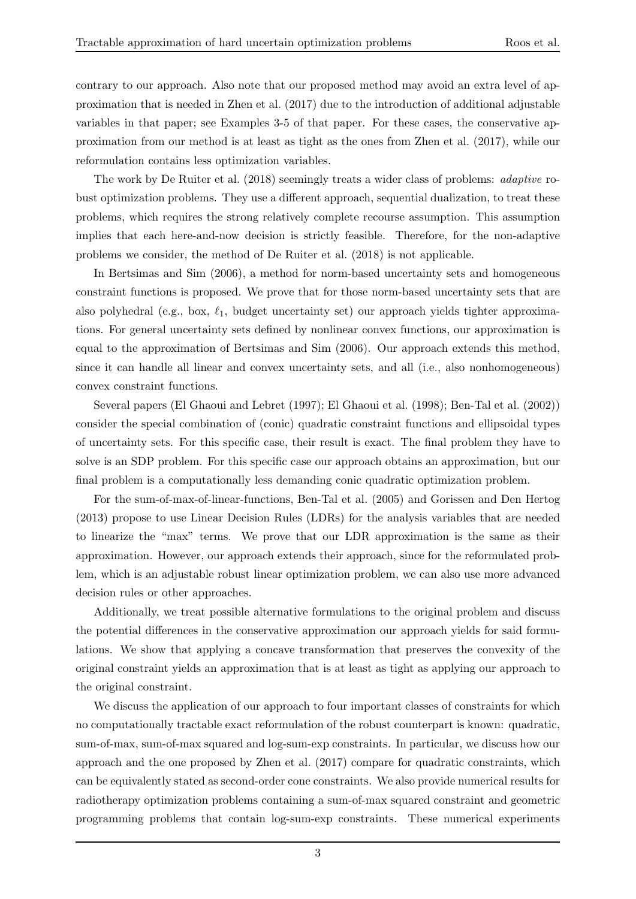contrary to our approach. Also note that our proposed method may avoid an extra level of approximation that is needed in Zhen et al. (2017) due to the introduction of additional adjustable variables in that paper; see Examples 3-5 of that paper. For these cases, the conservative approximation from our method is at least as tight as the ones from Zhen et al. (2017), while our reformulation contains less optimization variables.

The work by De Ruiter et al. (2018) seemingly treats a wider class of problems: adaptive robust optimization problems. They use a different approach, sequential dualization, to treat these problems, which requires the strong relatively complete recourse assumption. This assumption implies that each here-and-now decision is strictly feasible. Therefore, for the non-adaptive problems we consider, the method of De Ruiter et al. (2018) is not applicable.

In Bertsimas and Sim (2006), a method for norm-based uncertainty sets and homogeneous constraint functions is proposed. We prove that for those norm-based uncertainty sets that are also polyhedral (e.g., box,  $\ell_1$ , budget uncertainty set) our approach yields tighter approximations. For general uncertainty sets defined by nonlinear convex functions, our approximation is equal to the approximation of Bertsimas and Sim (2006). Our approach extends this method, since it can handle all linear and convex uncertainty sets, and all (i.e., also nonhomogeneous) convex constraint functions.

Several papers (El Ghaoui and Lebret (1997); El Ghaoui et al. (1998); Ben-Tal et al. (2002)) consider the special combination of (conic) quadratic constraint functions and ellipsoidal types of uncertainty sets. For this specific case, their result is exact. The final problem they have to solve is an SDP problem. For this specific case our approach obtains an approximation, but our final problem is a computationally less demanding conic quadratic optimization problem.

For the sum-of-max-of-linear-functions, Ben-Tal et al. (2005) and Gorissen and Den Hertog (2013) propose to use Linear Decision Rules (LDRs) for the analysis variables that are needed to linearize the "max" terms. We prove that our LDR approximation is the same as their approximation. However, our approach extends their approach, since for the reformulated problem, which is an adjustable robust linear optimization problem, we can also use more advanced decision rules or other approaches.

Additionally, we treat possible alternative formulations to the original problem and discuss the potential differences in the conservative approximation our approach yields for said formulations. We show that applying a concave transformation that preserves the convexity of the original constraint yields an approximation that is at least as tight as applying our approach to the original constraint.

We discuss the application of our approach to four important classes of constraints for which no computationally tractable exact reformulation of the robust counterpart is known: quadratic, sum-of-max, sum-of-max squared and log-sum-exp constraints. In particular, we discuss how our approach and the one proposed by Zhen et al. (2017) compare for quadratic constraints, which can be equivalently stated as second-order cone constraints. We also provide numerical results for radiotherapy optimization problems containing a sum-of-max squared constraint and geometric programming problems that contain log-sum-exp constraints. These numerical experiments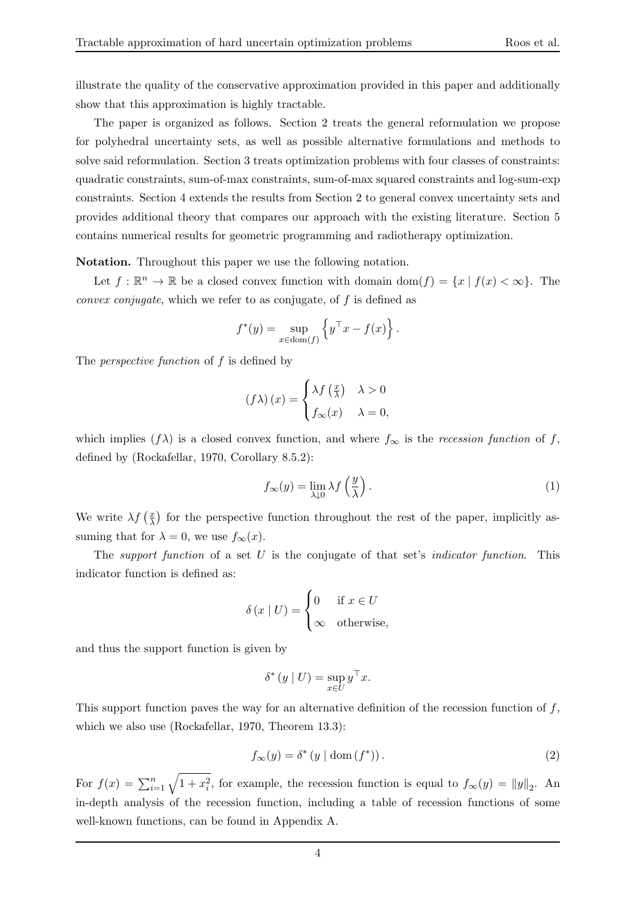illustrate the quality of the conservative approximation provided in this paper and additionally show that this approximation is highly tractable.

The paper is organized as follows. Section 2 treats the general reformulation we propose for polyhedral uncertainty sets, as well as possible alternative formulations and methods to solve said reformulation. Section 3 treats optimization problems with four classes of constraints: quadratic constraints, sum-of-max constraints, sum-of-max squared constraints and log-sum-exp constraints. Section 4 extends the results from Section 2 to general convex uncertainty sets and provides additional theory that compares our approach with the existing literature. Section 5 contains numerical results for geometric programming and radiotherapy optimization.

Notation. Throughout this paper we use the following notation.

Let  $f : \mathbb{R}^n \to \mathbb{R}$  be a closed convex function with domain  $dom(f) = \{x \mid f(x) < \infty\}$ . The convex conjugate, which we refer to as conjugate, of f is defined as

$$
f^*(y) = \sup_{x \in \text{dom}(f)} \left\{ y^\top x - f(x) \right\}.
$$

The *perspective function* of f is defined by

$$
(f\lambda)(x) = \begin{cases} \lambda f\left(\frac{x}{\lambda}\right) & \lambda > 0\\ f_{\infty}(x) & \lambda = 0, \end{cases}
$$

which implies  $(f\lambda)$  is a closed convex function, and where  $f_{\infty}$  is the recession function of f, defined by (Rockafellar, 1970, Corollary 8.5.2):

$$
f_{\infty}(y) = \lim_{\lambda \downarrow 0} \lambda f\left(\frac{y}{\lambda}\right). \tag{1}
$$

We write  $\lambda f$   $\left(\frac{x}{\lambda}\right)$  $\frac{x}{\lambda}$ ) for the perspective function throughout the rest of the paper, implicitly assuming that for  $\lambda = 0$ , we use  $f_{\infty}(x)$ .

The support function of a set  $U$  is the conjugate of that set's *indicator function*. This indicator function is defined as:

$$
\delta(x \mid U) = \begin{cases} 0 & \text{if } x \in U \\ \infty & \text{otherwise,} \end{cases}
$$

and thus the support function is given by

$$
\delta^* (y | U) = \sup_{x \in U} y^\top x.
$$

This support function paves the way for an alternative definition of the recession function of  $f$ , which we also use (Rockafellar, 1970, Theorem 13.3):

$$
f_{\infty}(y) = \delta^* (y \mid \text{dom}(f^*)). \tag{2}
$$

For  $f(x) = \sum_{i=1}^{n} \sqrt{1 + x_i^2}$ , for example, the recession function is equal to  $f_{\infty}(y) = ||y||_2$ . An in-depth analysis of the recession function, including a table of recession functions of some well-known functions, can be found in Appendix A.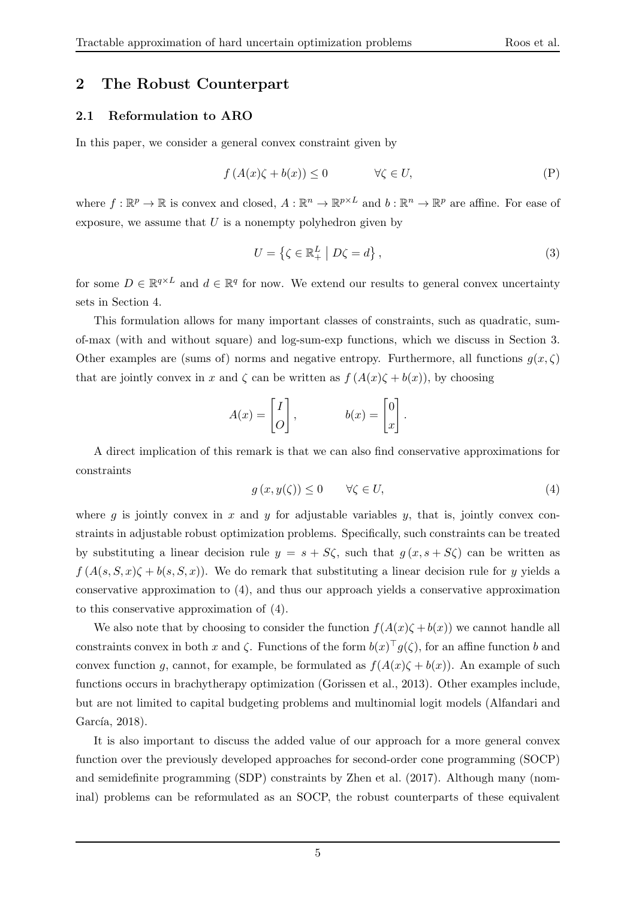## 2 The Robust Counterpart

#### 2.1 Reformulation to ARO

In this paper, we consider a general convex constraint given by

$$
f(A(x)\zeta + b(x)) \le 0 \qquad \forall \zeta \in U,
$$
 (P)

where  $f: \mathbb{R}^p \to \mathbb{R}$  is convex and closed,  $A: \mathbb{R}^n \to \mathbb{R}^{p \times L}$  and  $b: \mathbb{R}^n \to \mathbb{R}^p$  are affine. For ease of exposure, we assume that  $U$  is a nonempty polyhedron given by

$$
U = \left\{ \zeta \in \mathbb{R}_+^L \middle| D\zeta = d \right\},\tag{3}
$$

for some  $D \in \mathbb{R}^{q \times L}$  and  $d \in \mathbb{R}^q$  for now. We extend our results to general convex uncertainty sets in Section 4.

This formulation allows for many important classes of constraints, such as quadratic, sumof-max (with and without square) and log-sum-exp functions, which we discuss in Section 3. Other examples are (sums of) norms and negative entropy. Furthermore, all functions  $g(x,\zeta)$ that are jointly convex in x and  $\zeta$  can be written as  $f(A(x)\zeta + b(x))$ , by choosing

$$
A(x) = \begin{bmatrix} I \\ O \end{bmatrix}, \qquad b(x) = \begin{bmatrix} 0 \\ x \end{bmatrix}.
$$

A direct implication of this remark is that we can also find conservative approximations for constraints

$$
g(x, y(\zeta)) \le 0 \qquad \forall \zeta \in U,\tag{4}
$$

where g is jointly convex in x and y for adjustable variables y, that is, jointly convex constraints in adjustable robust optimization problems. Specifically, such constraints can be treated by substituting a linear decision rule  $y = s + S\zeta$ , such that  $g(x, s + S\zeta)$  can be written as  $f(A(s, S, x) \zeta + b(s, S, x))$ . We do remark that substituting a linear decision rule for y yields a conservative approximation to (4), and thus our approach yields a conservative approximation to this conservative approximation of (4).

We also note that by choosing to consider the function  $f(A(x)\zeta + b(x))$  we cannot handle all constraints convex in both x and  $\zeta$ . Functions of the form  $b(x)^\top g(\zeta)$ , for an affine function b and convex function g, cannot, for example, be formulated as  $f(A(x)\zeta + b(x))$ . An example of such functions occurs in brachytherapy optimization (Gorissen et al., 2013). Other examples include, but are not limited to capital budgeting problems and multinomial logit models (Alfandari and García, 2018).

It is also important to discuss the added value of our approach for a more general convex function over the previously developed approaches for second-order cone programming (SOCP) and semidefinite programming (SDP) constraints by Zhen et al. (2017). Although many (nominal) problems can be reformulated as an SOCP, the robust counterparts of these equivalent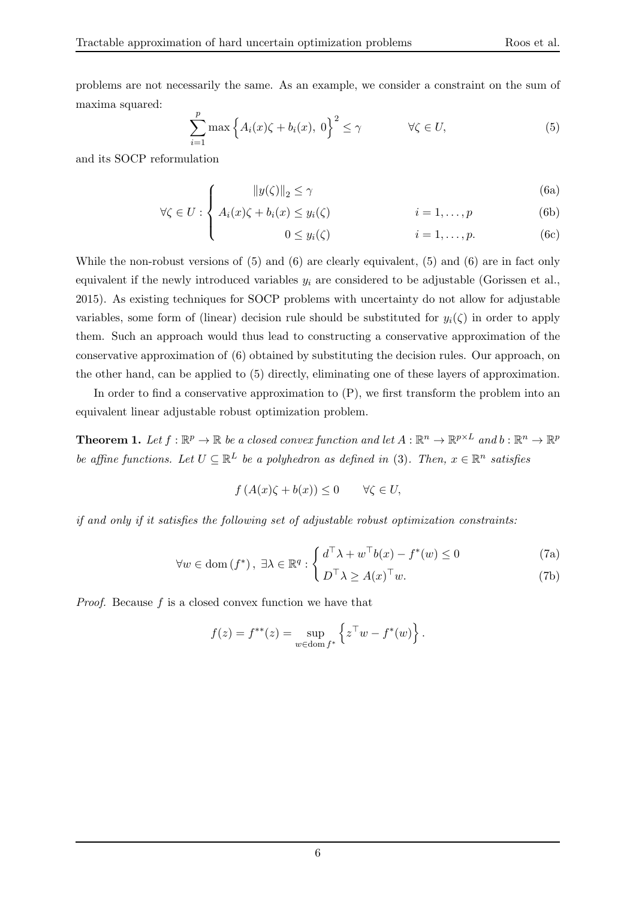problems are not necessarily the same. As an example, we consider a constraint on the sum of maxima squared:

$$
\sum_{i=1}^{p} \max \left\{ A_i(x)\zeta + b_i(x), \ 0 \right\}^2 \le \gamma \qquad \forall \zeta \in U,
$$
\n(5)

and its SOCP reformulation

$$
\int \qquad \|y(\zeta)\|_2 \le \gamma \tag{6a}
$$

$$
\forall \zeta \in U : \begin{cases} A_i(x)\zeta + b_i(x) \leq y_i(\zeta) & i = 1, ..., p \\ 0 \leq y_i(\zeta) & i = 1, ..., p. \end{cases}
$$
 (6b)

$$
0 \le y_i(\zeta) \qquad i = 1, \dots, p. \tag{6c}
$$

While the non-robust versions of (5) and (6) are clearly equivalent, (5) and (6) are in fact only equivalent if the newly introduced variables  $y_i$  are considered to be adjustable (Gorissen et al., 2015). As existing techniques for SOCP problems with uncertainty do not allow for adjustable variables, some form of (linear) decision rule should be substituted for  $y_i(\zeta)$  in order to apply them. Such an approach would thus lead to constructing a conservative approximation of the conservative approximation of (6) obtained by substituting the decision rules. Our approach, on the other hand, can be applied to (5) directly, eliminating one of these layers of approximation.

In order to find a conservative approximation to (P), we first transform the problem into an equivalent linear adjustable robust optimization problem.

**Theorem 1.** Let  $f : \mathbb{R}^p \to \mathbb{R}$  be a closed convex function and let  $A : \mathbb{R}^n \to \mathbb{R}^{p \times L}$  and  $b : \mathbb{R}^n \to \mathbb{R}^p$ be affine functions. Let  $U \subseteq \mathbb{R}^L$  be a polyhedron as defined in (3). Then,  $x \in \mathbb{R}^n$  satisfies

$$
f(A(x)\zeta + b(x)) \le 0 \qquad \forall \zeta \in U,
$$

if and only if it satisfies the following set of adjustable robust optimization constraints:

$$
\forall w \in \text{dom}(f^*), \ \exists \lambda \in \mathbb{R}^q : \begin{cases} d^\top \lambda + w^\top b(x) - f^*(w) \le 0 & (7a) \\ D^\top \lambda \ge A(x)^\top w. & (7b) \end{cases}
$$

Proof. Because f is a closed convex function we have that

$$
f(z) = f^{**}(z) = \sup_{w \in \text{dom } f^*} \left\{ z^{\top} w - f^*(w) \right\}.
$$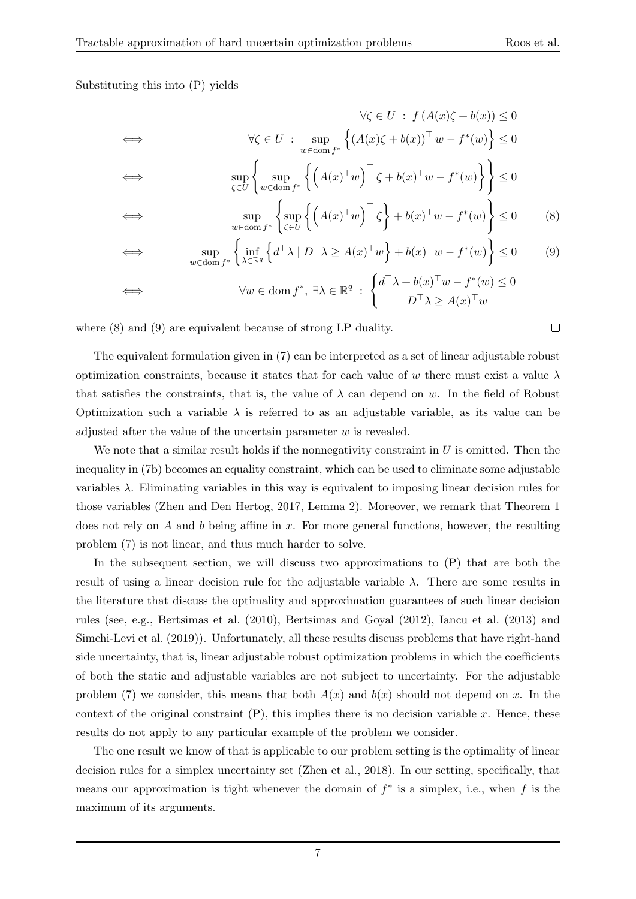#### Substituting this into (P) yields

$$
\forall \zeta \in U : f(A(x)\zeta + b(x)) \le 0
$$
  
\n
$$
\iff \forall \zeta \in U : \sup_{w \in \text{dom } f^*} \left\{ (A(x)\zeta + b(x))^{\top} w - f^*(w) \right\} \le 0
$$
  
\n
$$
\iff \sup_{\zeta \in U} \left\{ \sup_{w \in \text{dom } f^*} \left\{ \left( A(x)^{\top} w \right)^{\top} \zeta + b(x)^{\top} w - f^*(w) \right\} \right\} \le 0
$$
  
\n
$$
\iff \sup \left\{ \sup_{\zeta \in U} \left\{ (A(x)^{\top} w)^\top \zeta \right\} + b(x)^{\top} w - f^*(w) \right\} \le 0
$$

$$
\sup_{w \in \text{dom } f^*} \left\{ \sup_{\zeta \in U} \left\{ \left( A(x)^\top w \right)^\top \zeta \right\} + b(x)^\top w - f^*(w) \right\} \le 0 \tag{8}
$$

$$
\iff \qquad \sup_{w \in \text{dom } f^*} \left\{ \inf_{\lambda \in \mathbb{R}^q} \left\{ d^\top \lambda \mid D^\top \lambda \ge A(x)^\top w \right\} + b(x)^\top w - f^*(w) \right\} \le 0 \tag{9}
$$

$$
\iff \forall w \in \text{dom } f^*, \ \exists \lambda \in \mathbb{R}^q \ : \begin{cases} d^\top \lambda + b(x)^\top w - f^*(w) \leq 0 \\ D^\top \lambda \geq A(x)^\top w \end{cases}
$$

where (8) and (9) are equivalent because of strong LP duality.

The equivalent formulation given in (7) can be interpreted as a set of linear adjustable robust optimization constraints, because it states that for each value of w there must exist a value  $\lambda$ that satisfies the constraints, that is, the value of  $\lambda$  can depend on w. In the field of Robust Optimization such a variable  $\lambda$  is referred to as an adjustable variable, as its value can be adjusted after the value of the uncertain parameter  $w$  is revealed.

We note that a similar result holds if the nonnegativity constraint in  $U$  is omitted. Then the inequality in (7b) becomes an equality constraint, which can be used to eliminate some adjustable variables  $\lambda$ . Eliminating variables in this way is equivalent to imposing linear decision rules for those variables (Zhen and Den Hertog, 2017, Lemma 2). Moreover, we remark that Theorem 1 does not rely on A and b being affine in x. For more general functions, however, the resulting problem (7) is not linear, and thus much harder to solve.

In the subsequent section, we will discuss two approximations to  $(P)$  that are both the result of using a linear decision rule for the adjustable variable  $\lambda$ . There are some results in the literature that discuss the optimality and approximation guarantees of such linear decision rules (see, e.g., Bertsimas et al. (2010), Bertsimas and Goyal (2012), Iancu et al. (2013) and Simchi-Levi et al. (2019)). Unfortunately, all these results discuss problems that have right-hand side uncertainty, that is, linear adjustable robust optimization problems in which the coefficients of both the static and adjustable variables are not subject to uncertainty. For the adjustable problem (7) we consider, this means that both  $A(x)$  and  $b(x)$  should not depend on x. In the context of the original constraint  $(P)$ , this implies there is no decision variable x. Hence, these results do not apply to any particular example of the problem we consider.

The one result we know of that is applicable to our problem setting is the optimality of linear decision rules for a simplex uncertainty set (Zhen et al., 2018). In our setting, specifically, that means our approximation is tight whenever the domain of  $f^*$  is a simplex, i.e., when f is the maximum of its arguments.

 $\Box$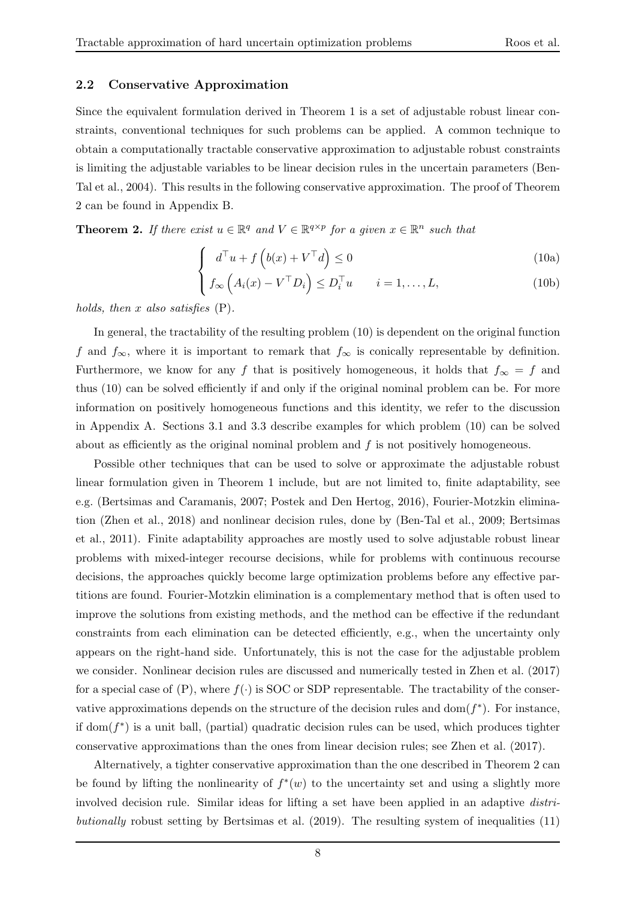#### 2.2 Conservative Approximation

Since the equivalent formulation derived in Theorem 1 is a set of adjustable robust linear constraints, conventional techniques for such problems can be applied. A common technique to obtain a computationally tractable conservative approximation to adjustable robust constraints is limiting the adjustable variables to be linear decision rules in the uncertain parameters (Ben-Tal et al., 2004). This results in the following conservative approximation. The proof of Theorem 2 can be found in Appendix B.

**Theorem 2.** If there exist  $u \in \mathbb{R}^q$  and  $V \in \mathbb{R}^{q \times p}$  for a given  $x \in \mathbb{R}^n$  such that

$$
\int d^{\top}u + f\left(b(x) + V^{\top}d\right) \le 0
$$
\n(10a)

$$
\left(f_{\infty}\left(A_i(x) - V^{\top}D_i\right) \leq D_i^{\top}u \qquad i = 1,\ldots,L,\right)
$$
\n(10b)

holds, then  $x$  also satisfies  $(P)$ .

In general, the tractability of the resulting problem (10) is dependent on the original function f and  $f_{\infty}$ , where it is important to remark that  $f_{\infty}$  is conically representable by definition. Furthermore, we know for any f that is positively homogeneous, it holds that  $f_{\infty} = f$  and thus (10) can be solved efficiently if and only if the original nominal problem can be. For more information on positively homogeneous functions and this identity, we refer to the discussion in Appendix A. Sections 3.1 and 3.3 describe examples for which problem (10) can be solved about as efficiently as the original nominal problem and  $f$  is not positively homogeneous.

Possible other techniques that can be used to solve or approximate the adjustable robust linear formulation given in Theorem 1 include, but are not limited to, finite adaptability, see e.g. (Bertsimas and Caramanis, 2007; Postek and Den Hertog, 2016), Fourier-Motzkin elimination (Zhen et al., 2018) and nonlinear decision rules, done by (Ben-Tal et al., 2009; Bertsimas et al., 2011). Finite adaptability approaches are mostly used to solve adjustable robust linear problems with mixed-integer recourse decisions, while for problems with continuous recourse decisions, the approaches quickly become large optimization problems before any effective partitions are found. Fourier-Motzkin elimination is a complementary method that is often used to improve the solutions from existing methods, and the method can be effective if the redundant constraints from each elimination can be detected efficiently, e.g., when the uncertainty only appears on the right-hand side. Unfortunately, this is not the case for the adjustable problem we consider. Nonlinear decision rules are discussed and numerically tested in Zhen et al. (2017) for a special case of  $(P)$ , where  $f(\cdot)$  is SOC or SDP representable. The tractability of the conservative approximations depends on the structure of the decision rules and  $dom(f^*)$ . For instance, if  $dom(f^*)$  is a unit ball, (partial) quadratic decision rules can be used, which produces tighter conservative approximations than the ones from linear decision rules; see Zhen et al. (2017).

Alternatively, a tighter conservative approximation than the one described in Theorem 2 can be found by lifting the nonlinearity of  $f^*(w)$  to the uncertainty set and using a slightly more involved decision rule. Similar ideas for lifting a set have been applied in an adaptive *distri*butionally robust setting by Bertsimas et al. (2019). The resulting system of inequalities (11)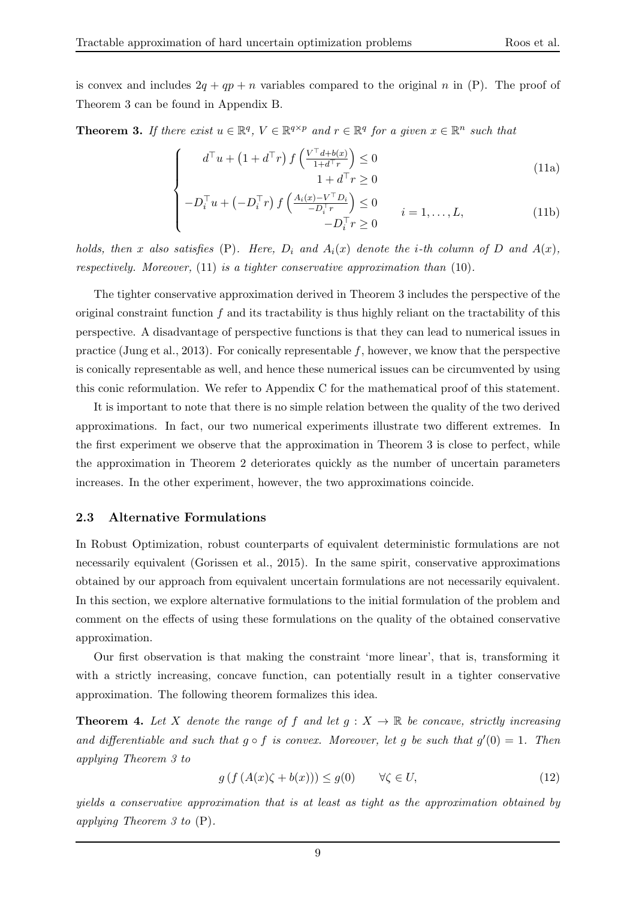is convex and includes  $2q + qp + n$  variables compared to the original n in (P). The proof of Theorem 3 can be found in Appendix B.

**Theorem 3.** If there exist  $u \in \mathbb{R}^q$ ,  $V \in \mathbb{R}^{q \times p}$  and  $r \in \mathbb{R}^q$  for a given  $x \in \mathbb{R}^n$  such that

$$
\int d^{\top}u + (1 + d^{\top}r) f\left(\frac{V^{\top}d + b(x)}{1 + d^{\top}r}\right) \le 0
$$
  
1 + d^{\top}r \ge 0 (11a)

$$
\begin{cases}\n-D_i^\top u + \left(-D_i^\top r\right) f\left(\frac{A_i(x) - V^\top D_i}{-D_i^\top r}\right) \le 0 & i = 1, \dots, L, \\
-D_i^\top r \ge 0 & \end{cases} \tag{11b}
$$

holds, then x also satisfies (P). Here,  $D_i$  and  $A_i(x)$  denote the *i*-th column of D and  $A(x)$ , respectively. Moreover,  $(11)$  is a tighter conservative approximation than  $(10)$ .

The tighter conservative approximation derived in Theorem 3 includes the perspective of the original constraint function  $f$  and its tractability is thus highly reliant on the tractability of this perspective. A disadvantage of perspective functions is that they can lead to numerical issues in practice (Jung et al., 2013). For conically representable  $f$ , however, we know that the perspective is conically representable as well, and hence these numerical issues can be circumvented by using this conic reformulation. We refer to Appendix C for the mathematical proof of this statement.

It is important to note that there is no simple relation between the quality of the two derived approximations. In fact, our two numerical experiments illustrate two different extremes. In the first experiment we observe that the approximation in Theorem 3 is close to perfect, while the approximation in Theorem 2 deteriorates quickly as the number of uncertain parameters increases. In the other experiment, however, the two approximations coincide.

#### 2.3 Alternative Formulations

In Robust Optimization, robust counterparts of equivalent deterministic formulations are not necessarily equivalent (Gorissen et al., 2015). In the same spirit, conservative approximations obtained by our approach from equivalent uncertain formulations are not necessarily equivalent. In this section, we explore alternative formulations to the initial formulation of the problem and comment on the effects of using these formulations on the quality of the obtained conservative approximation.

Our first observation is that making the constraint 'more linear', that is, transforming it with a strictly increasing, concave function, can potentially result in a tighter conservative approximation. The following theorem formalizes this idea.

**Theorem 4.** Let X denote the range of f and let  $g: X \to \mathbb{R}$  be concave, strictly increasing and differentiable and such that  $g \circ f$  is convex. Moreover, let g be such that  $g'(0) = 1$ . Then applying Theorem 3 to

$$
g(f(A(x)\zeta + b(x))) \le g(0) \qquad \forall \zeta \in U,
$$
\n(12)

yields a conservative approximation that is at least as tight as the approximation obtained by applying Theorem 3 to (P).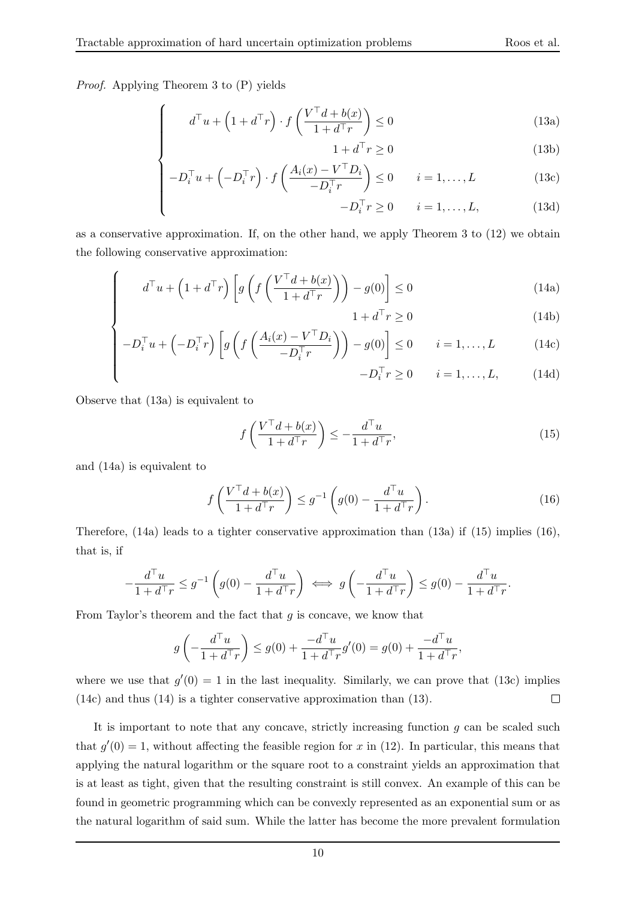Proof. Applying Theorem 3 to (P) yields

 $\sqrt{ }$ 

 $\begin{array}{c} \hline \end{array}$ 

$$
d^{\top}u + \left(1 + d^{\top}r\right) \cdot f\left(\frac{V^{\top}d + b(x)}{1 + d^{\top}r}\right) \le 0\tag{13a}
$$

$$
1 + d^{\top} r \ge 0 \tag{13b}
$$

$$
\begin{cases}\n-D_i^\top u + \left(-D_i^\top r\right) \cdot f\left(\frac{A_i(x) - V^\top D_i}{-D_i^\top r}\right) \le 0 & i = 1, \dots, L \\
-D_i^\top r \ge 0 & i = 1, \dots, L,\n\end{cases} \tag{13c}
$$

$$
-D_i^{\top} r \ge 0 \qquad i = 1, \dots, L,\tag{13d}
$$

as a conservative approximation. If, on the other hand, we apply Theorem 3 to (12) we obtain the following conservative approximation:

$$
d^{\top}u + \left(1 + d^{\top}r\right) \left[g\left(f\left(\frac{V^{\top}d + b(x)}{1 + d^{\top}r}\right)\right) - g(0)\right] \le 0\tag{14a}
$$

$$
1 + d^{\top} r \ge 0 \tag{14b}
$$

$$
\begin{bmatrix} -D_i^{\top}u + \left(-D_i^{\top}r\right) \left[g\left(f\left(\frac{A_i(x) - V^{\top}D_i}{-D_i^{\top}r}\right)\right) - g(0)\right] \le 0 & i = 1, \dots, L & (14c) \\ -D_i^{\top}r \ge 0 & i = 1, \dots, L, & (14d) \end{bmatrix}
$$

$$
-D_i^{\top} r \ge 0 \qquad i = 1, \dots, L, \tag{14d}
$$

Observe that (13a) is equivalent to

$$
f\left(\frac{V^{\top}d + b(x)}{1 + d^{\top}r}\right) \le -\frac{d^{\top}u}{1 + d^{\top}r},\tag{15}
$$

and (14a) is equivalent to

 $\sqrt{ }$ 

 $\begin{array}{c} \hline \end{array}$ 

$$
f\left(\frac{V^{\top}d + b(x)}{1 + d^{\top}r}\right) \le g^{-1}\left(g(0) - \frac{d^{\top}u}{1 + d^{\top}r}\right). \tag{16}
$$

Therefore, (14a) leads to a tighter conservative approximation than (13a) if (15) implies (16), that is, if

$$
-\frac{d^\top u}{1+d^\top r} \le g^{-1}\left(g(0) - \frac{d^\top u}{1+d^\top r}\right) \iff g\left(-\frac{d^\top u}{1+d^\top r}\right) \le g(0) - \frac{d^\top u}{1+d^\top r}.
$$

From Taylor's theorem and the fact that  $g$  is concave, we know that

$$
g\left(-\frac{d^{\top}u}{1+d^{\top}r}\right) \le g(0) + \frac{-d^{\top}u}{1+d^{\top}r}g'(0) = g(0) + \frac{-d^{\top}u}{1+d^{\top}r},
$$

where we use that  $g'(0) = 1$  in the last inequality. Similarly, we can prove that (13c) implies (14c) and thus (14) is a tighter conservative approximation than (13).  $\Box$ 

It is important to note that any concave, strictly increasing function  $q$  can be scaled such that  $g'(0) = 1$ , without affecting the feasible region for x in (12). In particular, this means that applying the natural logarithm or the square root to a constraint yields an approximation that is at least as tight, given that the resulting constraint is still convex. An example of this can be found in geometric programming which can be convexly represented as an exponential sum or as the natural logarithm of said sum. While the latter has become the more prevalent formulation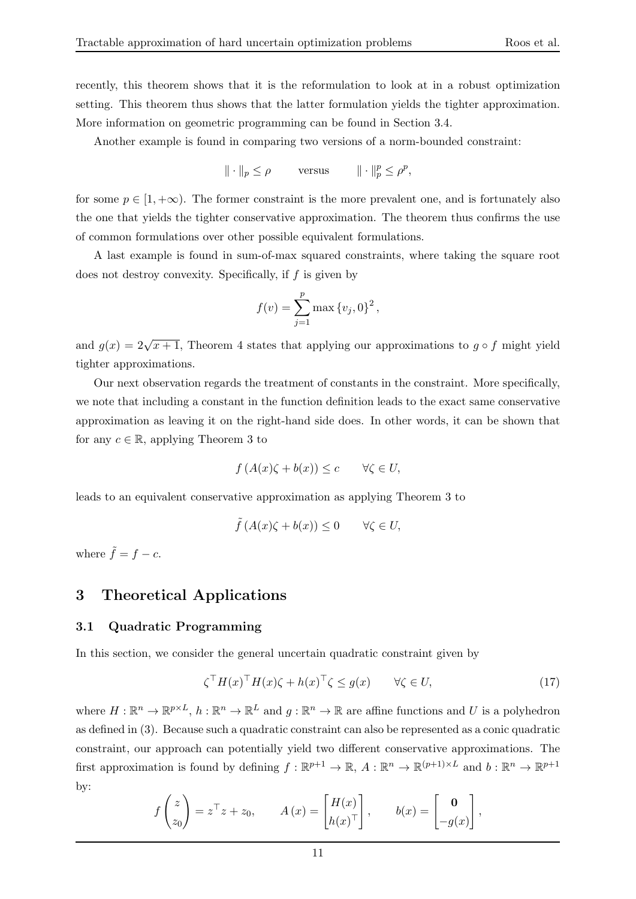recently, this theorem shows that it is the reformulation to look at in a robust optimization setting. This theorem thus shows that the latter formulation yields the tighter approximation. More information on geometric programming can be found in Section 3.4.

Another example is found in comparing two versions of a norm-bounded constraint:

$$
\|\cdot\|_p \le \rho \qquad \text{versus} \qquad \|\cdot\|_p^p \le \rho^p,
$$

for some  $p \in [1, +\infty)$ . The former constraint is the more prevalent one, and is fortunately also the one that yields the tighter conservative approximation. The theorem thus confirms the use of common formulations over other possible equivalent formulations.

A last example is found in sum-of-max squared constraints, where taking the square root does not destroy convexity. Specifically, if  $f$  is given by

$$
f(v) = \sum_{j=1}^{p} \max \{v_j, 0\}^2,
$$

and  $g(x) = 2\sqrt{x+1}$ , Theorem 4 states that applying our approximations to  $g \circ f$  might yield tighter approximations.

Our next observation regards the treatment of constants in the constraint. More specifically, we note that including a constant in the function definition leads to the exact same conservative approximation as leaving it on the right-hand side does. In other words, it can be shown that for any  $c \in \mathbb{R}$ , applying Theorem 3 to

$$
f(A(x)\zeta + b(x)) \le c \qquad \forall \zeta \in U,
$$

leads to an equivalent conservative approximation as applying Theorem 3 to

$$
\tilde{f}(A(x)\zeta + b(x)) \le 0 \qquad \forall \zeta \in U,
$$

where  $\tilde{f} = f - c$ .

## 3 Theoretical Applications

#### 3.1 Quadratic Programming

In this section, we consider the general uncertain quadratic constraint given by

$$
\zeta^{\top} H(x)^{\top} H(x) \zeta + h(x)^{\top} \zeta \le g(x) \qquad \forall \zeta \in U,
$$
\n(17)

where  $H: \mathbb{R}^n \to \mathbb{R}^{p \times L}$ ,  $h: \mathbb{R}^n \to \mathbb{R}^L$  and  $g: \mathbb{R}^n \to \mathbb{R}$  are affine functions and U is a polyhedron as defined in (3). Because such a quadratic constraint can also be represented as a conic quadratic constraint, our approach can potentially yield two different conservative approximations. The first approximation is found by defining  $f : \mathbb{R}^{p+1} \to \mathbb{R}$ ,  $A : \mathbb{R}^n \to \mathbb{R}^{(p+1)\times L}$  and  $b : \mathbb{R}^n \to \mathbb{R}^{p+1}$ by:

$$
f\begin{pmatrix} z \\ z_0 \end{pmatrix} = z^\top z + z_0
$$
,  $A(x) = \begin{bmatrix} H(x) \\ h(x)^\top \end{bmatrix}$ ,  $b(x) = \begin{bmatrix} \mathbf{0} \\ -g(x) \end{bmatrix}$ ,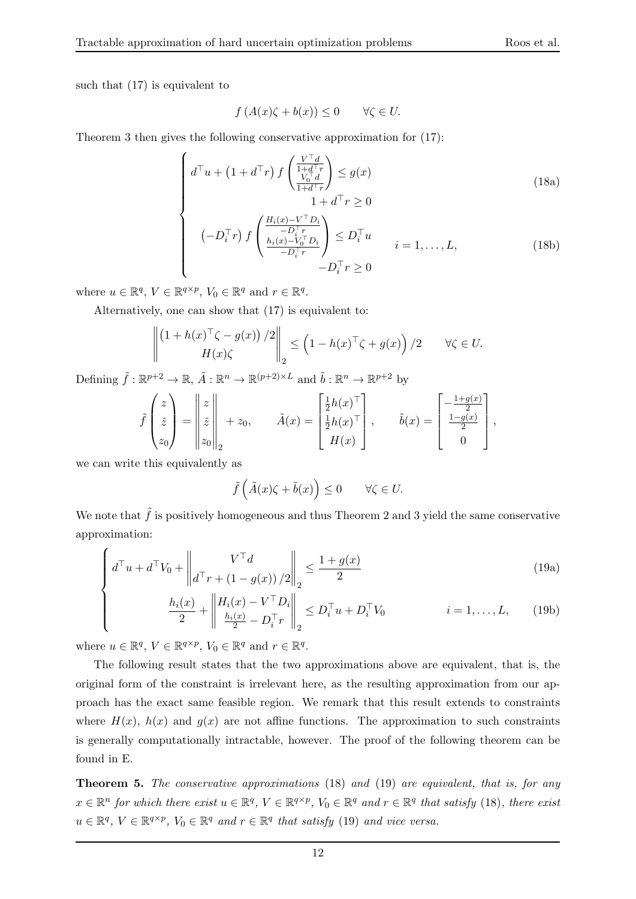such that (17) is equivalent to

$$
f(A(x)\zeta + b(x)) \le 0 \quad \forall \zeta \in U.
$$

Theorem 3 then gives the following conservative approximation for (17):

$$
\begin{cases}\n d^{\top}u + \left(1 + d^{\top}r\right) f\left(\frac{V^{\top}d}{\frac{V_0^{\top}d}{1 + d^{\top}r}}\right) \le g(x) \\
 1 + d^{\top}r \ge 0\n\end{cases}
$$
\n
$$
(18a)
$$
\n
$$
\begin{cases}\n \frac{H_i(x) - V^{\top}D_i}{-D^{\top}r}\n\end{cases}
$$

$$
\begin{cases}\n\left(-D_i^{\top}r\right) f\left(\frac{-D_i^{\top}r}{i\mu_i(x)-V_0^{\top}D_i}\right) \leq D_i^{\top}u & i=1,\ldots,L, \\
-D_i^{\top}r & D_i^{\top}r \geq 0\n\end{cases}
$$
\n(18b)

where  $u \in \mathbb{R}^q$ ,  $V \in \mathbb{R}^{q \times p}$ ,  $V_0 \in \mathbb{R}^q$  and  $r \in \mathbb{R}^q$ .

Alternatively, one can show that (17) is equivalent to:

$$
\left\| \begin{pmatrix} 1 + h(x)^\top \zeta - g(x) \end{pmatrix} / 2 \right\|_2 \le \left( 1 - h(x)^\top \zeta + g(x) \right) / 2 \qquad \forall \zeta \in U.
$$

Defining  $\tilde{f} : \mathbb{R}^{p+2} \to \mathbb{R}, \tilde{A} : \mathbb{R}^n \to \mathbb{R}^{(p+2)\times L}$  and  $\tilde{b} : \mathbb{R}^n \to \mathbb{R}^{p+2}$  by

$$
\tilde{f}\begin{pmatrix} z \\ \hat{z} \\ z_0 \end{pmatrix} = \begin{vmatrix} z \\ \hat{z} \\ z_0 \end{vmatrix} + z_0, \qquad \tilde{A}(x) = \begin{bmatrix} \frac{1}{2}h(x)^\top \\ \frac{1}{2}h(x)^\top \\ H(x) \end{bmatrix}, \qquad \tilde{b}(x) = \begin{bmatrix} -\frac{1+g(x)}{2} \\ \frac{1-g(x)}{2} \\ 0 \end{bmatrix},
$$

we can write this equivalently as

 $\overline{\mathcal{L}}$ 

$$
\tilde{f}\left(\tilde{A}(x)\zeta + \tilde{b}(x)\right) \le 0 \qquad \forall \zeta \in U.
$$

We note that  $\tilde{f}$  is positively homogeneous and thus Theorem 2 and 3 yield the same conservative approximation:

$$
\left\| d^{\top} u + d^{\top} V_0 + \left\| d^{\top} r + (1 - g(x)) / 2 \right\|_2 \le \frac{1 + g(x)}{2} \tag{19a}
$$

$$
\frac{h_i(x)}{2} + \left\| \frac{H_i(x) - V^\top D_i}{\frac{h_i(x)}{2} - D_i^\top r} \right\|_2 \leq D_i^\top u + D_i^\top V_0 \qquad i = 1, ..., L,
$$
\n(19b)

where  $u \in \mathbb{R}^q$ ,  $V \in \mathbb{R}^{q \times p}$ ,  $V_0 \in \mathbb{R}^q$  and  $r \in \mathbb{R}^q$ .

The following result states that the two approximations above are equivalent, that is, the original form of the constraint is irrelevant here, as the resulting approximation from our approach has the exact same feasible region. We remark that this result extends to constraints where  $H(x)$ ,  $h(x)$  and  $q(x)$  are not affine functions. The approximation to such constraints is generally computationally intractable, however. The proof of the following theorem can be found in E.

Theorem 5. The conservative approximations (18) and (19) are equivalent, that is, for any  $x \in \mathbb{R}^n$  for which there exist  $u \in \mathbb{R}^q$ ,  $V \in \mathbb{R}^{q \times p}$ ,  $V_0 \in \mathbb{R}^q$  and  $r \in \mathbb{R}^q$  that satisfy (18), there exist  $u \in \mathbb{R}^q$ ,  $V \in \mathbb{R}^{q \times p}$ ,  $V_0 \in \mathbb{R}^q$  and  $r \in \mathbb{R}^q$  that satisfy (19) and vice versa.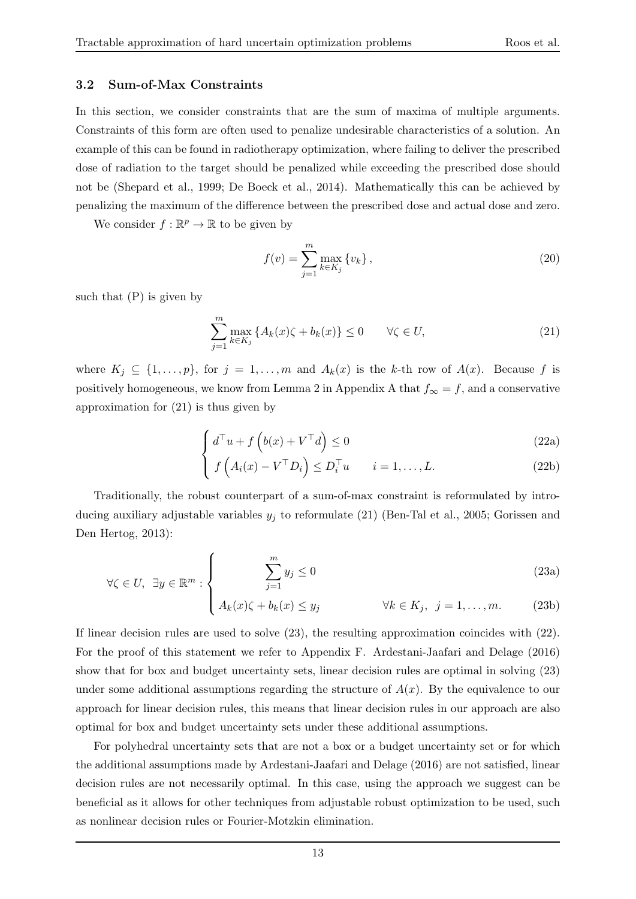#### 3.2 Sum-of-Max Constraints

In this section, we consider constraints that are the sum of maxima of multiple arguments. Constraints of this form are often used to penalize undesirable characteristics of a solution. An example of this can be found in radiotherapy optimization, where failing to deliver the prescribed dose of radiation to the target should be penalized while exceeding the prescribed dose should not be (Shepard et al., 1999; De Boeck et al., 2014). Mathematically this can be achieved by penalizing the maximum of the difference between the prescribed dose and actual dose and zero.

We consider  $f : \mathbb{R}^p \to \mathbb{R}$  to be given by

$$
f(v) = \sum_{j=1}^{m} \max_{k \in K_j} \{v_k\},\tag{20}
$$

such that  $(P)$  is given by

$$
\sum_{j=1}^{m} \max_{k \in K_j} \left\{ A_k(x)\zeta + b_k(x) \right\} \le 0 \qquad \forall \zeta \in U,
$$
\n(21)

where  $K_j \subseteq \{1, \ldots, p\}$ , for  $j = 1, \ldots, m$  and  $A_k(x)$  is the k-th row of  $A(x)$ . Because f is positively homogeneous, we know from Lemma 2 in Appendix A that  $f_{\infty} = f$ , and a conservative approximation for (21) is thus given by

$$
\int d^{\top}u + f\left(b(x) + V^{\top}d\right) \le 0\tag{22a}
$$

$$
\left(f\left(A_i(x) - V^\top D_i\right) \le D_i^\top u \qquad i = 1, \dots, L. \tag{22b}
$$

Traditionally, the robust counterpart of a sum-of-max constraint is reformulated by introducing auxiliary adjustable variables  $y_j$  to reformulate (21) (Ben-Tal et al., 2005; Gorissen and Den Hertog, 2013):

$$
\forall \zeta \in U, \ \exists y \in \mathbb{R}^m : \begin{cases} \sum_{j=1}^m y_j \le 0 \end{cases} \tag{23a}
$$

$$
\left(A_k(x)\zeta + b_k(x)\leq y_j\right) \qquad \forall k \in K_j, \ \ j = 1, \dots, m. \tag{23b}
$$

If linear decision rules are used to solve (23), the resulting approximation coincides with (22). For the proof of this statement we refer to Appendix F. Ardestani-Jaafari and Delage (2016) show that for box and budget uncertainty sets, linear decision rules are optimal in solving (23) under some additional assumptions regarding the structure of  $A(x)$ . By the equivalence to our approach for linear decision rules, this means that linear decision rules in our approach are also optimal for box and budget uncertainty sets under these additional assumptions.

For polyhedral uncertainty sets that are not a box or a budget uncertainty set or for which the additional assumptions made by Ardestani-Jaafari and Delage (2016) are not satisfied, linear decision rules are not necessarily optimal. In this case, using the approach we suggest can be beneficial as it allows for other techniques from adjustable robust optimization to be used, such as nonlinear decision rules or Fourier-Motzkin elimination.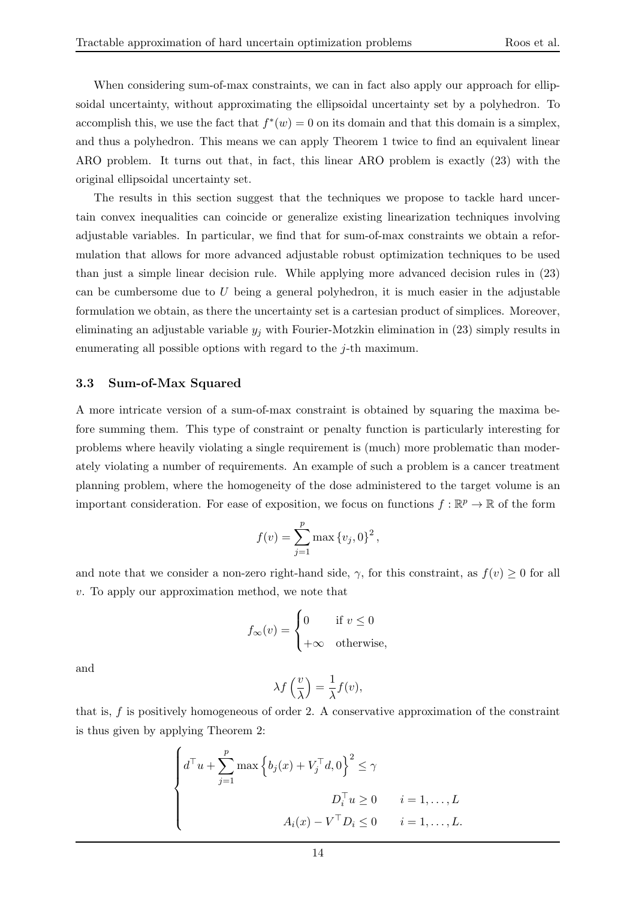When considering sum-of-max constraints, we can in fact also apply our approach for ellipsoidal uncertainty, without approximating the ellipsoidal uncertainty set by a polyhedron. To accomplish this, we use the fact that  $f^*(w) = 0$  on its domain and that this domain is a simplex, and thus a polyhedron. This means we can apply Theorem 1 twice to find an equivalent linear ARO problem. It turns out that, in fact, this linear ARO problem is exactly (23) with the original ellipsoidal uncertainty set.

The results in this section suggest that the techniques we propose to tackle hard uncertain convex inequalities can coincide or generalize existing linearization techniques involving adjustable variables. In particular, we find that for sum-of-max constraints we obtain a reformulation that allows for more advanced adjustable robust optimization techniques to be used than just a simple linear decision rule. While applying more advanced decision rules in (23) can be cumbersome due to  $U$  being a general polyhedron, it is much easier in the adjustable formulation we obtain, as there the uncertainty set is a cartesian product of simplices. Moreover, eliminating an adjustable variable  $y_j$  with Fourier-Motzkin elimination in (23) simply results in enumerating all possible options with regard to the j-th maximum.

#### 3.3 Sum-of-Max Squared

A more intricate version of a sum-of-max constraint is obtained by squaring the maxima before summing them. This type of constraint or penalty function is particularly interesting for problems where heavily violating a single requirement is (much) more problematic than moderately violating a number of requirements. An example of such a problem is a cancer treatment planning problem, where the homogeneity of the dose administered to the target volume is an important consideration. For ease of exposition, we focus on functions  $f : \mathbb{R}^p \to \mathbb{R}$  of the form

$$
f(v) = \sum_{j=1}^{p} \max \{v_j, 0\}^2,
$$

and note that we consider a non-zero right-hand side,  $\gamma$ , for this constraint, as  $f(v) \geq 0$  for all v. To apply our approximation method, we note that

$$
f_{\infty}(v) = \begin{cases} 0 & \text{if } v \le 0 \\ +\infty & \text{otherwise,} \end{cases}
$$

and

$$
\lambda f\left(\frac{v}{\lambda}\right) = \frac{1}{\lambda} f(v),
$$

that is,  $f$  is positively homogeneous of order 2. A conservative approximation of the constraint is thus given by applying Theorem 2:

$$
\begin{cases}\nd^{\top}u + \sum_{j=1}^{p} \max \left\{ b_j(x) + V_j^{\top}d, 0 \right\}^2 \leq \gamma \\
D_i^{\top}u \geq 0 \qquad i = 1, \dots, L \\
A_i(x) - V^{\top}D_i \leq 0 \qquad i = 1, \dots, L.\n\end{cases}
$$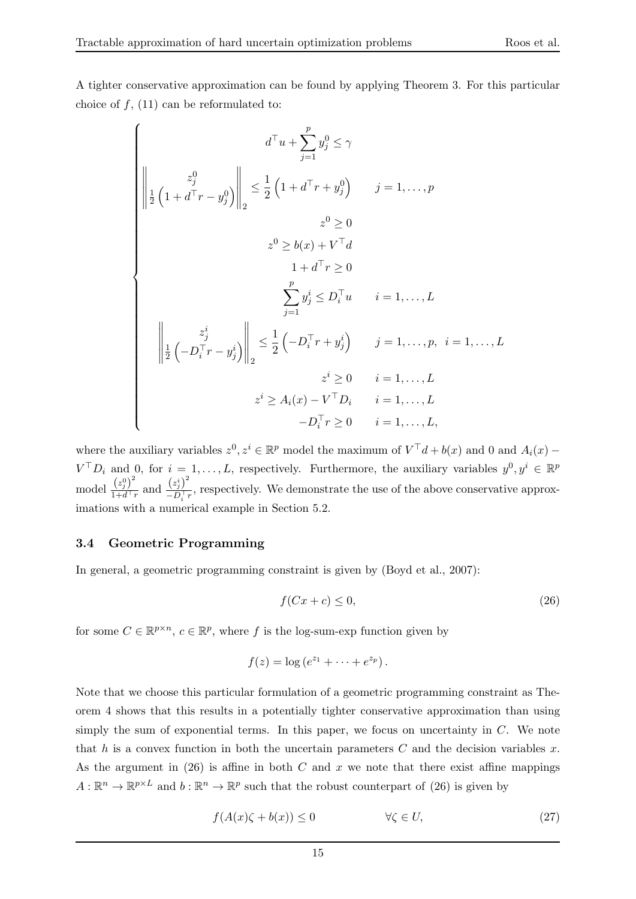$$
\begin{aligned}\n d^{\top}u + \sum_{j=1}^{p} y_{j}^{0} &\leq \gamma \\
 \left\| \frac{1}{2} \left( 1 + d^{\top}r - y_{j}^{0} \right) \right\|_{2} \leq \frac{1}{2} \left( 1 + d^{\top}r + y_{j}^{0} \right) \qquad j = 1, \dots, p \\
 z^{0} &\geq 0 \\
 z^{0} &\geq b(x) + V^{\top}d \\
 &\qquad 1 + d^{\top}r \geq 0 \\
 \left\| \frac{1}{2} \left( -D_{i}^{\top}r - y_{j}^{i} \right) \right\|_{2} \leq \frac{1}{2} \left( -D_{i}^{\top}r + y_{j}^{i} \right) \qquad j = 1, \dots, p, \ i = 1, \dots, L \\
 z^{i} &\geq 0 \qquad i = 1, \dots, L \\
 z^{i} &\geq A_{i}(x) - V^{\top}D_{i} \qquad i = 1, \dots, L \\
 -D_{i}^{\top}r &\geq 0 \qquad i = 1, \dots, L\n\end{aligned}
$$

where the auxiliary variables  $z^0, z^i \in \mathbb{R}^p$  model the maximum of  $V^{\top}d + b(x)$  and 0 and  $A_i(x)$  –  $V^{\top}D_i$  and 0, for  $i = 1, ..., L$ , respectively. Furthermore, the auxiliary variables  $y^0, y^i \in \mathbb{R}^p$ model  $\frac{(z_j^0)^2}{1+d^{\top}y^0}$  $\frac{(z_j^0)^2}{1+d^{\top}r}$  and  $\frac{(z_j^i)^2}{-D_i^{\top}r}$  $\frac{(\frac{y_j}{-D_i})}{-D_i^{\mathrm{T}}r}$ , respectively. We demonstrate the use of the above conservative approximations with a numerical example in Section 5.2.

#### 3.4 Geometric Programming

In general, a geometric programming constraint is given by (Boyd et al., 2007):

$$
f(Cx + c) \le 0,\tag{26}
$$

for some  $C \in \mathbb{R}^{p \times n}$ ,  $c \in \mathbb{R}^p$ , where f is the log-sum-exp function given by

$$
f(z) = \log(e^{z_1} + \cdots + e^{z_p}).
$$

Note that we choose this particular formulation of a geometric programming constraint as Theorem 4 shows that this results in a potentially tighter conservative approximation than using simply the sum of exponential terms. In this paper, we focus on uncertainty in  $C$ . We note that h is a convex function in both the uncertain parameters  $C$  and the decision variables x. As the argument in  $(26)$  is affine in both C and x we note that there exist affine mappings  $A: \mathbb{R}^n \to \mathbb{R}^{p \times L}$  and  $b: \mathbb{R}^n \to \mathbb{R}^p$  such that the robust counterpart of (26) is given by

$$
f(A(x)\zeta + b(x)) \le 0 \qquad \forall \zeta \in U,\tag{27}
$$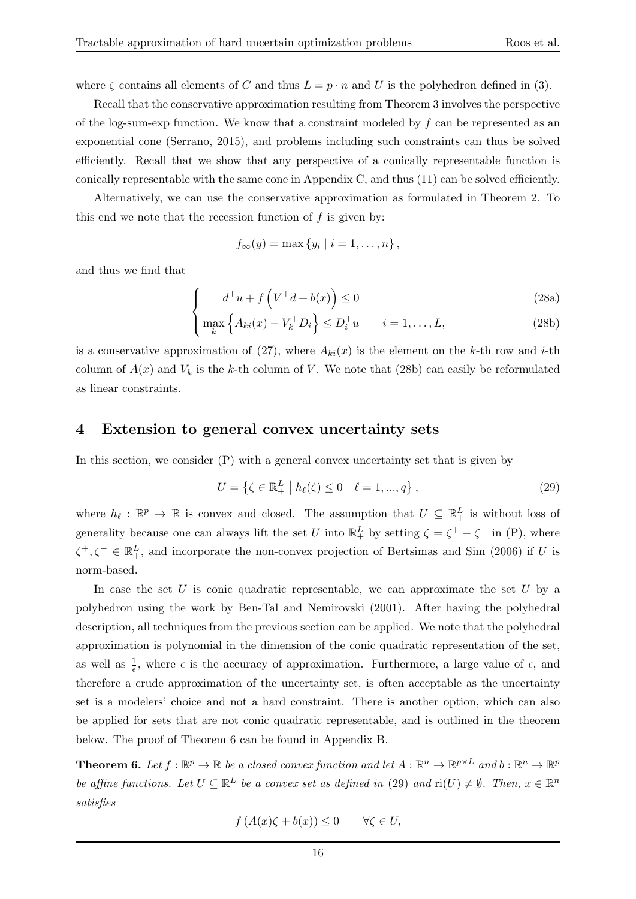where  $\zeta$  contains all elements of C and thus  $L = p \cdot n$  and U is the polyhedron defined in (3).

Recall that the conservative approximation resulting from Theorem 3 involves the perspective of the log-sum-exp function. We know that a constraint modeled by  $f$  can be represented as an exponential cone (Serrano, 2015), and problems including such constraints can thus be solved efficiently. Recall that we show that any perspective of a conically representable function is conically representable with the same cone in Appendix C, and thus (11) can be solved efficiently.

Alternatively, we can use the conservative approximation as formulated in Theorem 2. To this end we note that the recession function of  $f$  is given by:

$$
f_{\infty}(y) = \max\left\{y_i \mid i = 1, \ldots, n\right\},\,
$$

and thus we find that

 $\sqrt{ }$  $\int$ 

$$
d^{\top}u + f\left(V^{\top}d + b(x)\right) \le 0\tag{28a}
$$

$$
\left\{\max_{k} \left\{ A_{ki}(x) - V_k^{\top} D_i \right\} \le D_i^{\top} u \qquad i = 1, \dots, L,
$$
\n(28b)

is a conservative approximation of (27), where  $A_{ki}(x)$  is the element on the k-th row and i-th column of  $A(x)$  and  $V_k$  is the k-th column of V. We note that (28b) can easily be reformulated as linear constraints.

#### 4 Extension to general convex uncertainty sets

In this section, we consider (P) with a general convex uncertainty set that is given by

$$
U = \{ \zeta \in \mathbb{R}_+^L \mid h_\ell(\zeta) \le 0 \quad \ell = 1, ..., q \},
$$
\n(29)

where  $h_{\ell} : \mathbb{R}^p \to \mathbb{R}$  is convex and closed. The assumption that  $U \subseteq \mathbb{R}^L_+$  is without loss of generality because one can always lift the set U into  $\mathbb{R}^L_+$  by setting  $\zeta = \zeta^+ - \zeta^-$  in (P), where  $\zeta^+, \zeta^- \in \mathbb{R}^L_+$ , and incorporate the non-convex projection of Bertsimas and Sim (2006) if U is norm-based.

In case the set  $U$  is conic quadratic representable, we can approximate the set  $U$  by a polyhedron using the work by Ben-Tal and Nemirovski (2001). After having the polyhedral description, all techniques from the previous section can be applied. We note that the polyhedral approximation is polynomial in the dimension of the conic quadratic representation of the set, as well as  $\frac{1}{\epsilon}$ , where  $\epsilon$  is the accuracy of approximation. Furthermore, a large value of  $\epsilon$ , and therefore a crude approximation of the uncertainty set, is often acceptable as the uncertainty set is a modelers' choice and not a hard constraint. There is another option, which can also be applied for sets that are not conic quadratic representable, and is outlined in the theorem below. The proof of Theorem 6 can be found in Appendix B.

**Theorem 6.** Let  $f : \mathbb{R}^p \to \mathbb{R}$  be a closed convex function and let  $A : \mathbb{R}^n \to \mathbb{R}^{p \times L}$  and  $b : \mathbb{R}^n \to \mathbb{R}^p$ be affine functions. Let  $U \subseteq \mathbb{R}^L$  be a convex set as defined in (29) and  $\text{ri}(U) \neq \emptyset$ . Then,  $x \in \mathbb{R}^n$ satisfies

$$
f(A(x)\zeta + b(x)) \le 0 \qquad \forall \zeta \in U,
$$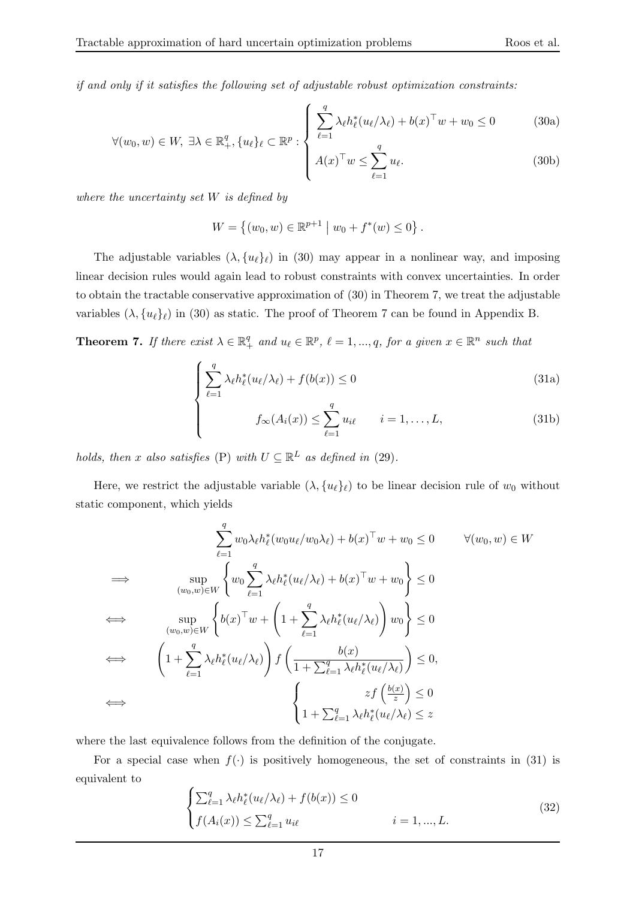if and only if it satisfies the following set of adjustable robust optimization constraints:

$$
\forall (w_0, w) \in W, \ \exists \lambda \in \mathbb{R}_+^q, \{u_\ell\}_\ell \subset \mathbb{R}^p : \begin{cases} \sum_{\ell=1}^q \lambda_\ell h_\ell^*(u_\ell/\lambda_\ell) + b(x)^\top w + w_0 \le 0 & (30a) \\ A(x)^\top w \le \sum_{\ell=1}^q u_\ell & (30b) \end{cases}
$$

where the uncertainty set  $W$  is defined by

$$
W = \{(w_0, w) \in \mathbb{R}^{p+1} \mid w_0 + f^*(w) \le 0\}.
$$

The adjustable variables  $(\lambda, \{u_\ell\}_\ell)$  in (30) may appear in a nonlinear way, and imposing linear decision rules would again lead to robust constraints with convex uncertainties. In order to obtain the tractable conservative approximation of (30) in Theorem 7, we treat the adjustable variables  $(\lambda, \{u_\ell\}_\ell)$  in (30) as static. The proof of Theorem 7 can be found in Appendix B.

**Theorem 7.** If there exist  $\lambda \in \mathbb{R}_+^q$  and  $u_\ell \in \mathbb{R}^p$ ,  $\ell = 1, ..., q$ , for a given  $x \in \mathbb{R}^n$  such that

$$
\int \sum_{\ell=1}^{q} \lambda_{\ell} h_{\ell}^{*}(u_{\ell}/\lambda_{\ell}) + f(b(x)) \le 0
$$
\n(31a)

 $_{\ell=1}$ 

$$
f_{\infty}(A_i(x)) \leq \sum_{\ell=1}^q u_{i\ell} \qquad i = 1,\ldots,L,
$$
\n(31b)

holds, then x also satisfies (P) with  $U \subseteq \mathbb{R}^L$  as defined in (29).

 $\overline{\mathcal{L}}$ 

Here, we restrict the adjustable variable  $(\lambda, \{u_\ell\}_\ell)$  to be linear decision rule of  $w_0$  without static component, which yields

$$
\sum_{\ell=1}^{q} w_0 \lambda_{\ell} h_{\ell}^*(w_0 u_{\ell}/w_0 \lambda_{\ell}) + b(x)^{\top} w + w_0 \le 0 \qquad \forall (w_0, w) \in W
$$
  
\n
$$
\implies \qquad \sup_{(w_0, w) \in W} \left\{ w_0 \sum_{\ell=1}^{q} \lambda_{\ell} h_{\ell}^*(u_{\ell}/\lambda_{\ell}) + b(x)^{\top} w + w_0 \right\} \le 0
$$
  
\n
$$
\iff \qquad \sup_{(w_0, w) \in W} \left\{ b(x)^{\top} w + \left( 1 + \sum_{\ell=1}^{q} \lambda_{\ell} h_{\ell}^*(u_{\ell}/\lambda_{\ell}) \right) w_0 \right\} \le 0
$$
  
\n
$$
\iff \qquad \left( 1 + \sum_{\ell=1}^{q} \lambda_{\ell} h_{\ell}^*(u_{\ell}/\lambda_{\ell}) \right) f \left( \frac{b(x)}{1 + \sum_{\ell=1}^{q} \lambda_{\ell} h_{\ell}^*(u_{\ell}/\lambda_{\ell})} \right) \le 0,
$$
  
\n
$$
\iff \qquad \left( 1 + \sum_{\ell=1}^{q} \lambda_{\ell} h_{\ell}^*(u_{\ell}/\lambda_{\ell}) \right) f \left( \frac{b(x)}{1 + \sum_{\ell=1}^{q} \lambda_{\ell} h_{\ell}^*(u_{\ell}/\lambda_{\ell})} \right) \le 0
$$

where the last equivalence follows from the definition of the conjugate.

For a special case when  $f(.)$  is positively homogeneous, the set of constraints in (31) is equivalent to

$$
\begin{cases} \sum_{\ell=1}^{q} \lambda_{\ell} h_{\ell}^{*}(u_{\ell}/\lambda_{\ell}) + f(b(x)) \le 0 \\ f(A_{i}(x)) \le \sum_{\ell=1}^{q} u_{i\ell} & i = 1, ..., L. \end{cases}
$$
\n(32)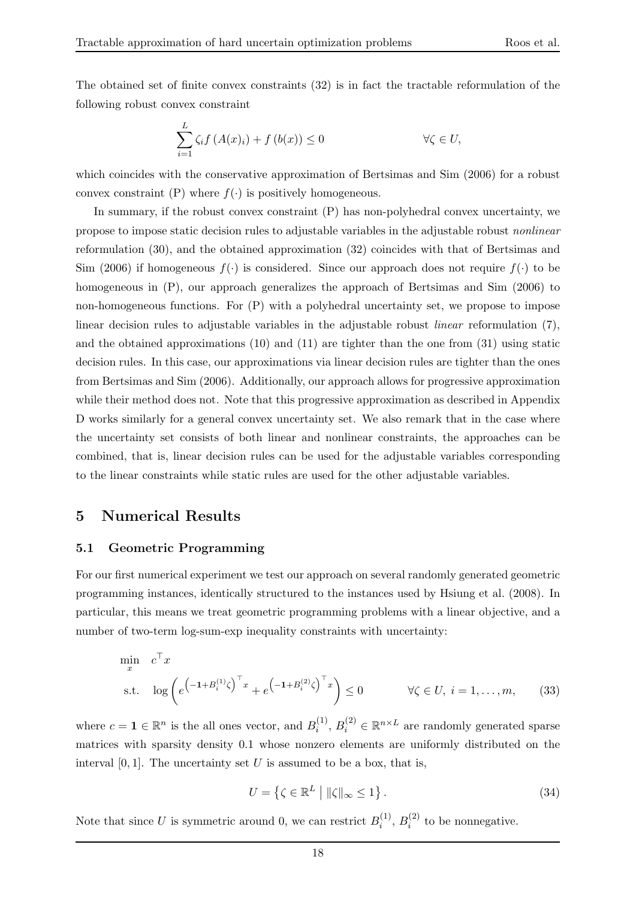The obtained set of finite convex constraints (32) is in fact the tractable reformulation of the following robust convex constraint

$$
\sum_{i=1}^{L} \zeta_i f(A(x)_i) + f(b(x)) \le 0 \qquad \forall \zeta \in U,
$$

which coincides with the conservative approximation of Bertsimas and Sim (2006) for a robust convex constraint (P) where  $f(\cdot)$  is positively homogeneous.

In summary, if the robust convex constraint (P) has non-polyhedral convex uncertainty, we propose to impose static decision rules to adjustable variables in the adjustable robust nonlinear reformulation (30), and the obtained approximation (32) coincides with that of Bertsimas and Sim (2006) if homogeneous  $f(\cdot)$  is considered. Since our approach does not require  $f(\cdot)$  to be homogeneous in (P), our approach generalizes the approach of Bertsimas and Sim (2006) to non-homogeneous functions. For (P) with a polyhedral uncertainty set, we propose to impose linear decision rules to adjustable variables in the adjustable robust linear reformulation (7), and the obtained approximations (10) and (11) are tighter than the one from (31) using static decision rules. In this case, our approximations via linear decision rules are tighter than the ones from Bertsimas and Sim (2006). Additionally, our approach allows for progressive approximation while their method does not. Note that this progressive approximation as described in Appendix D works similarly for a general convex uncertainty set. We also remark that in the case where the uncertainty set consists of both linear and nonlinear constraints, the approaches can be combined, that is, linear decision rules can be used for the adjustable variables corresponding to the linear constraints while static rules are used for the other adjustable variables.

#### 5 Numerical Results

#### 5.1 Geometric Programming

For our first numerical experiment we test our approach on several randomly generated geometric programming instances, identically structured to the instances used by Hsiung et al. (2008). In particular, this means we treat geometric programming problems with a linear objective, and a number of two-term log-sum-exp inequality constraints with uncertainty:

$$
\min_{x} c^{\top} x
$$
\n
$$
\text{s.t.} \quad \log \left( e^{\left( -1 + B_{i}^{(1)} \zeta \right)^{\top} x} + e^{\left( -1 + B_{i}^{(2)} \zeta \right)^{\top} x} \right) \leq 0 \qquad \forall \zeta \in U, \ i = 1, \dots, m, \tag{33}
$$

where  $c = \mathbf{1} \in \mathbb{R}^n$  is the all ones vector, and  $B_i^{(1)}$  $i^{(1)}$ ,  $B_i^{(2)} \in \mathbb{R}^{n \times L}$  are randomly generated sparse matrices with sparsity density 0.1 whose nonzero elements are uniformly distributed on the interval  $[0, 1]$ . The uncertainty set U is assumed to be a box, that is,

$$
U = \left\{ \zeta \in \mathbb{R}^L \mid \|\zeta\|_{\infty} \le 1 \right\}.
$$
\n(34)

Note that since U is symmetric around 0, we can restrict  $B_i^{(1)}$  $i^{(1)}$ ,  $B_i^{(2)}$  to be nonnegative.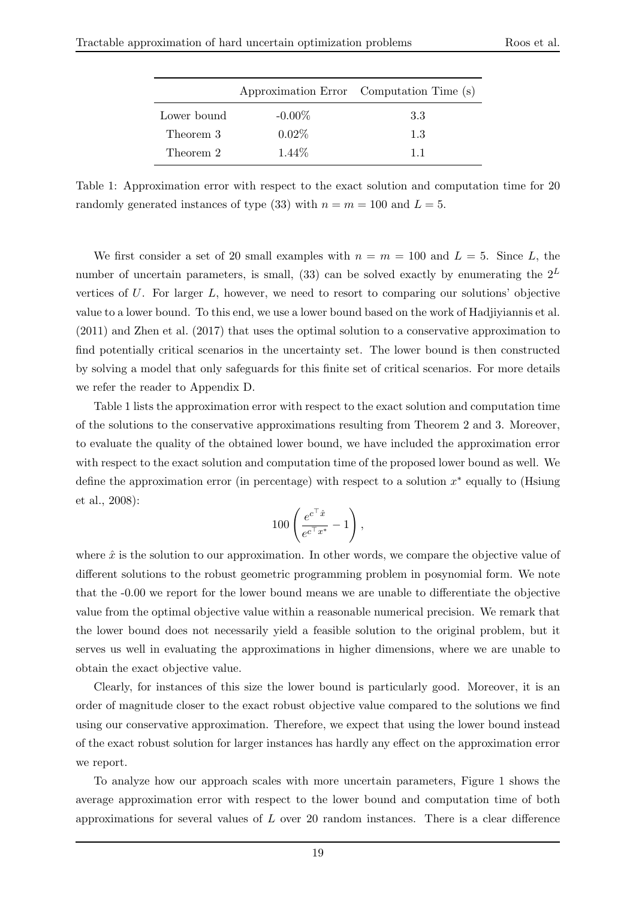|             |           | Approximation Error Computation Time (s) |
|-------------|-----------|------------------------------------------|
| Lower bound | $-0.00\%$ | 3.3                                      |
| Theorem 3   | $0.02\%$  | 1.3                                      |
| Theorem 2   | 1.44\%    | 11                                       |

Table 1: Approximation error with respect to the exact solution and computation time for 20 randomly generated instances of type (33) with  $n = m = 100$  and  $L = 5$ .

We first consider a set of 20 small examples with  $n = m = 100$  and  $L = 5$ . Since L, the number of uncertain parameters, is small, (33) can be solved exactly by enumerating the  $2^L$ vertices of  $U$ . For larger  $L$ , however, we need to resort to comparing our solutions' objective value to a lower bound. To this end, we use a lower bound based on the work of Hadjiyiannis et al. (2011) and Zhen et al. (2017) that uses the optimal solution to a conservative approximation to find potentially critical scenarios in the uncertainty set. The lower bound is then constructed by solving a model that only safeguards for this finite set of critical scenarios. For more details we refer the reader to Appendix D.

Table 1 lists the approximation error with respect to the exact solution and computation time of the solutions to the conservative approximations resulting from Theorem 2 and 3. Moreover, to evaluate the quality of the obtained lower bound, we have included the approximation error with respect to the exact solution and computation time of the proposed lower bound as well. We define the approximation error (in percentage) with respect to a solution  $x^*$  equally to (Hsiung et al., 2008):

$$
100\left(\frac{e^{c^\top\hat{x}}}{e^{c^\top x^*}}-1\right),
$$

where  $\hat{x}$  is the solution to our approximation. In other words, we compare the objective value of different solutions to the robust geometric programming problem in posynomial form. We note that the -0.00 we report for the lower bound means we are unable to differentiate the objective value from the optimal objective value within a reasonable numerical precision. We remark that the lower bound does not necessarily yield a feasible solution to the original problem, but it serves us well in evaluating the approximations in higher dimensions, where we are unable to obtain the exact objective value.

Clearly, for instances of this size the lower bound is particularly good. Moreover, it is an order of magnitude closer to the exact robust objective value compared to the solutions we find using our conservative approximation. Therefore, we expect that using the lower bound instead of the exact robust solution for larger instances has hardly any effect on the approximation error we report.

To analyze how our approach scales with more uncertain parameters, Figure 1 shows the average approximation error with respect to the lower bound and computation time of both approximations for several values of  $L$  over 20 random instances. There is a clear difference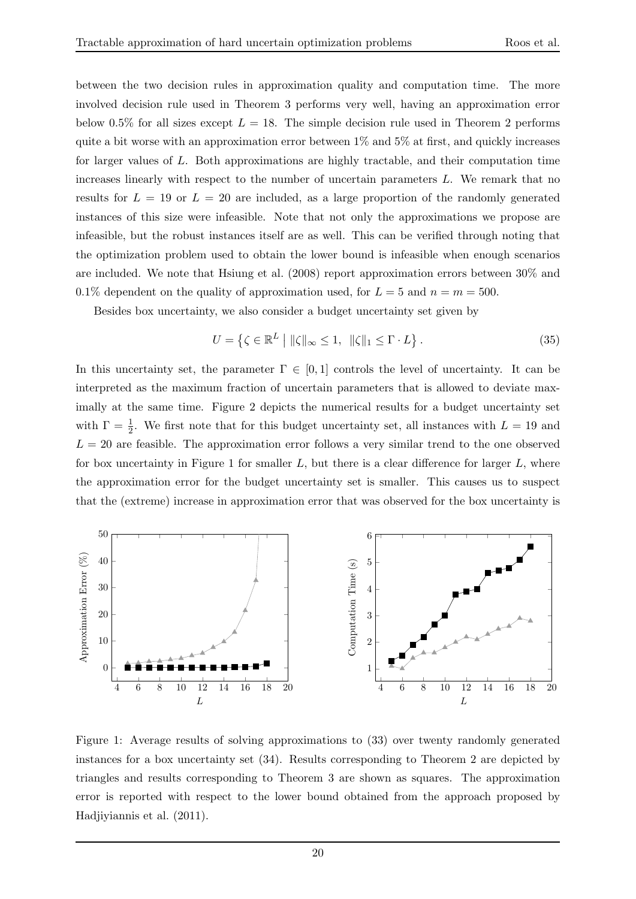between the two decision rules in approximation quality and computation time. The more involved decision rule used in Theorem 3 performs very well, having an approximation error below 0.5% for all sizes except  $L = 18$ . The simple decision rule used in Theorem 2 performs quite a bit worse with an approximation error between  $1\%$  and  $5\%$  at first, and quickly increases for larger values of L. Both approximations are highly tractable, and their computation time increases linearly with respect to the number of uncertain parameters  $L$ . We remark that no results for  $L = 19$  or  $L = 20$  are included, as a large proportion of the randomly generated instances of this size were infeasible. Note that not only the approximations we propose are infeasible, but the robust instances itself are as well. This can be verified through noting that the optimization problem used to obtain the lower bound is infeasible when enough scenarios are included. We note that Hsiung et al. (2008) report approximation errors between 30% and 0.1% dependent on the quality of approximation used, for  $L = 5$  and  $n = m = 500$ .

Besides box uncertainty, we also consider a budget uncertainty set given by

$$
U = \left\{ \zeta \in \mathbb{R}^L \mid \|\zeta\|_{\infty} \le 1, \|\zeta\|_{1} \le \Gamma \cdot L \right\}.
$$
 (35)

In this uncertainty set, the parameter  $\Gamma \in [0,1]$  controls the level of uncertainty. It can be interpreted as the maximum fraction of uncertain parameters that is allowed to deviate maximally at the same time. Figure 2 depicts the numerical results for a budget uncertainty set with  $\Gamma = \frac{1}{2}$ . We first note that for this budget uncertainty set, all instances with  $L = 19$  and  $L = 20$  are feasible. The approximation error follows a very similar trend to the one observed for box uncertainty in Figure 1 for smaller  $L$ , but there is a clear difference for larger  $L$ , where the approximation error for the budget uncertainty set is smaller. This causes us to suspect that the (extreme) increase in approximation error that was observed for the box uncertainty is



Figure 1: Average results of solving approximations to (33) over twenty randomly generated instances for a box uncertainty set (34). Results corresponding to Theorem 2 are depicted by triangles and results corresponding to Theorem 3 are shown as squares. The approximation error is reported with respect to the lower bound obtained from the approach proposed by Hadjiyiannis et al. (2011).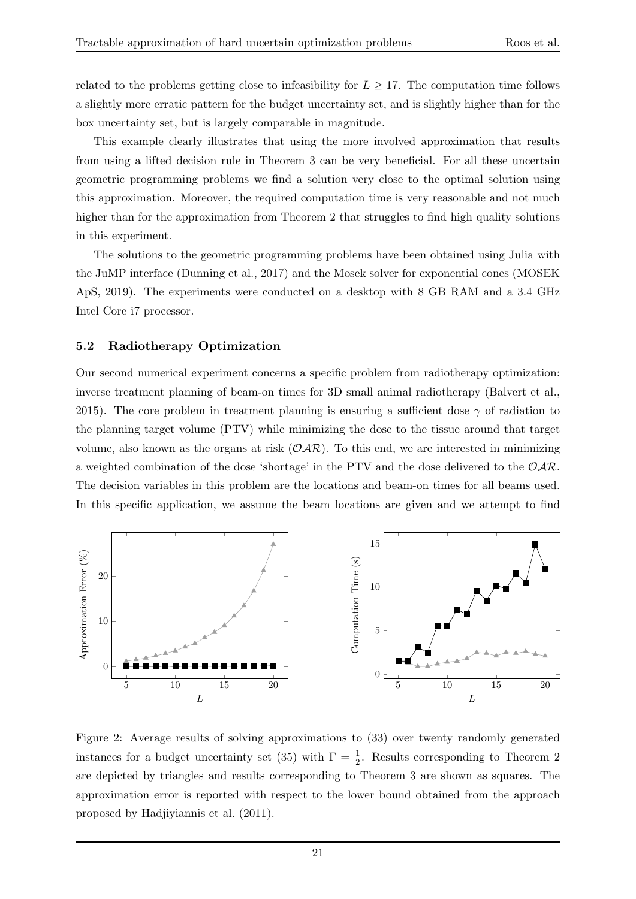related to the problems getting close to infeasibility for  $L \geq 17$ . The computation time follows a slightly more erratic pattern for the budget uncertainty set, and is slightly higher than for the box uncertainty set, but is largely comparable in magnitude.

This example clearly illustrates that using the more involved approximation that results from using a lifted decision rule in Theorem 3 can be very beneficial. For all these uncertain geometric programming problems we find a solution very close to the optimal solution using this approximation. Moreover, the required computation time is very reasonable and not much higher than for the approximation from Theorem 2 that struggles to find high quality solutions in this experiment.

The solutions to the geometric programming problems have been obtained using Julia with the JuMP interface (Dunning et al., 2017) and the Mosek solver for exponential cones (MOSEK ApS, 2019). The experiments were conducted on a desktop with 8 GB RAM and a 3.4 GHz Intel Core i7 processor.

#### 5.2 Radiotherapy Optimization

Our second numerical experiment concerns a specific problem from radiotherapy optimization: inverse treatment planning of beam-on times for 3D small animal radiotherapy (Balvert et al., 2015). The core problem in treatment planning is ensuring a sufficient dose  $\gamma$  of radiation to the planning target volume (PTV) while minimizing the dose to the tissue around that target volume, also known as the organs at risk  $(\mathcal{OAR})$ . To this end, we are interested in minimizing a weighted combination of the dose 'shortage' in the PTV and the dose delivered to the  $\mathcal{O}AR$ . The decision variables in this problem are the locations and beam-on times for all beams used. In this specific application, we assume the beam locations are given and we attempt to find



Figure 2: Average results of solving approximations to (33) over twenty randomly generated instances for a budget uncertainty set (35) with  $\Gamma = \frac{1}{2}$ . Results corresponding to Theorem 2 are depicted by triangles and results corresponding to Theorem 3 are shown as squares. The approximation error is reported with respect to the lower bound obtained from the approach proposed by Hadjiyiannis et al. (2011).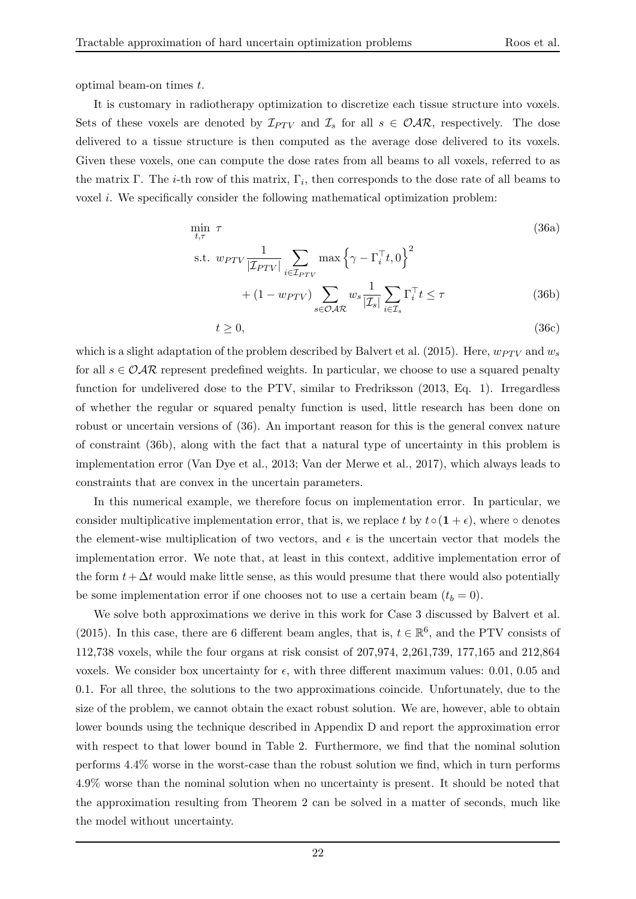optimal beam-on times t.

It is customary in radiotherapy optimization to discretize each tissue structure into voxels. Sets of these voxels are denoted by  $\mathcal{I}_{PTV}$  and  $\mathcal{I}_s$  for all  $s \in \mathcal{O}AR$ , respectively. The dose delivered to a tissue structure is then computed as the average dose delivered to its voxels. Given these voxels, one can compute the dose rates from all beams to all voxels, referred to as the matrix  $\Gamma$ . The *i*-th row of this matrix,  $\Gamma_i$ , then corresponds to the dose rate of all beams to voxel i. We specifically consider the following mathematical optimization problem:

$$
\min_{t,\tau} \tau
$$
\n
$$
\text{s.t. } w_{PTV} \frac{1}{|\mathcal{I}_{PTV}|} \sum_{i \in \mathcal{I}_{PTV}} \max \left\{ \gamma - \Gamma_i^{\top} t, 0 \right\}^2
$$
\n
$$
+ (1 - w_{PTV}) \sum_{s \in \mathcal{OAR}} w_s \frac{1}{|\mathcal{I}_s|} \sum_{i \in \mathcal{I}_s} \Gamma_i^{\top} t \le \tau
$$
\n(36b)

$$
t \ge 0,\tag{36c}
$$

which is a slight adaptation of the problem described by Balvert et al. (2015). Here,  $w_{PTV}$  and  $w_s$ for all  $s \in \mathcal{O} \mathcal{A} \mathcal{R}$  represent predefined weights. In particular, we choose to use a squared penalty function for undelivered dose to the PTV, similar to Fredriksson (2013, Eq. 1). Irregardless of whether the regular or squared penalty function is used, little research has been done on robust or uncertain versions of (36). An important reason for this is the general convex nature of constraint (36b), along with the fact that a natural type of uncertainty in this problem is implementation error (Van Dye et al., 2013; Van der Merwe et al., 2017), which always leads to constraints that are convex in the uncertain parameters.

In this numerical example, we therefore focus on implementation error. In particular, we consider multiplicative implementation error, that is, we replace t by  $t \circ (1 + \epsilon)$ , where  $\circ$  denotes the element-wise multiplication of two vectors, and  $\epsilon$  is the uncertain vector that models the implementation error. We note that, at least in this context, additive implementation error of the form  $t + \Delta t$  would make little sense, as this would presume that there would also potentially be some implementation error if one chooses not to use a certain beam  $(t_b = 0)$ .

We solve both approximations we derive in this work for Case 3 discussed by Balvert et al. (2015). In this case, there are 6 different beam angles, that is,  $t \in \mathbb{R}^6$ , and the PTV consists of 112,738 voxels, while the four organs at risk consist of 207,974, 2,261,739, 177,165 and 212,864 voxels. We consider box uncertainty for  $\epsilon$ , with three different maximum values: 0.01, 0.05 and 0.1. For all three, the solutions to the two approximations coincide. Unfortunately, due to the size of the problem, we cannot obtain the exact robust solution. We are, however, able to obtain lower bounds using the technique described in Appendix D and report the approximation error with respect to that lower bound in Table 2. Furthermore, we find that the nominal solution performs 4.4% worse in the worst-case than the robust solution we find, which in turn performs 4.9% worse than the nominal solution when no uncertainty is present. It should be noted that the approximation resulting from Theorem 2 can be solved in a matter of seconds, much like the model without uncertainty.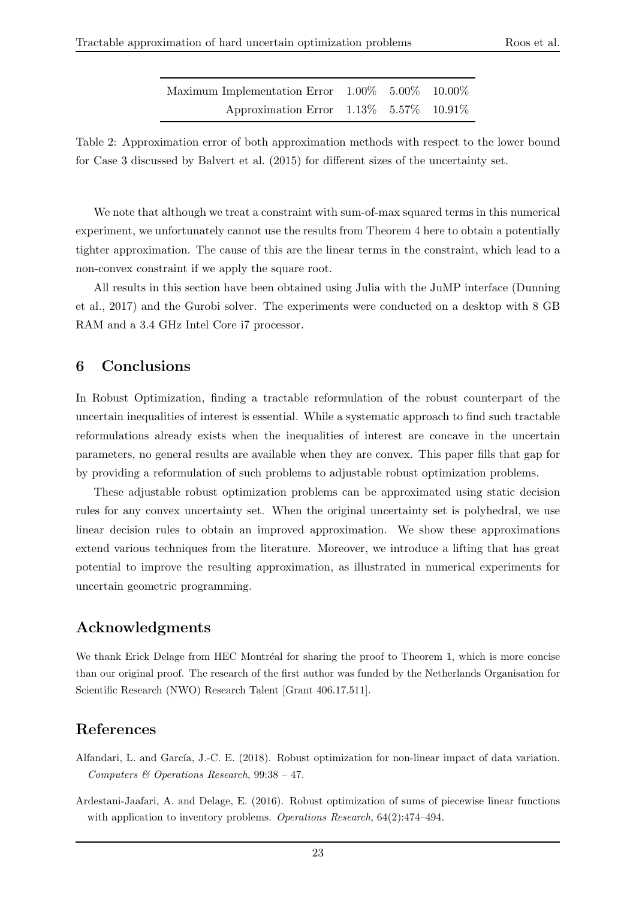| Maximum Implementation Error $1.00\%$ $5.00\%$ $10.00\%$ |  |  |
|----------------------------------------------------------|--|--|
| Approximation Error $1.13\%$ 5.57% $10.91\%$             |  |  |

Table 2: Approximation error of both approximation methods with respect to the lower bound for Case 3 discussed by Balvert et al. (2015) for different sizes of the uncertainty set.

We note that although we treat a constraint with sum-of-max squared terms in this numerical experiment, we unfortunately cannot use the results from Theorem 4 here to obtain a potentially tighter approximation. The cause of this are the linear terms in the constraint, which lead to a non-convex constraint if we apply the square root.

All results in this section have been obtained using Julia with the JuMP interface (Dunning et al., 2017) and the Gurobi solver. The experiments were conducted on a desktop with 8 GB RAM and a 3.4 GHz Intel Core in processor.

## 6 Conclusions

In Robust Optimization, finding a tractable reformulation of the robust counterpart of the uncertain inequalities of interest is essential. While a systematic approach to find such tractable reformulations already exists when the inequalities of interest are concave in the uncertain parameters, no general results are available when they are convex. This paper fills that gap for by providing a reformulation of such problems to adjustable robust optimization problems.

These adjustable robust optimization problems can be approximated using static decision rules for any convex uncertainty set. When the original uncertainty set is polyhedral, we use linear decision rules to obtain an improved approximation. We show these approximations extend various techniques from the literature. Moreover, we introduce a lifting that has great potential to improve the resulting approximation, as illustrated in numerical experiments for uncertain geometric programming.

## Acknowledgments

We thank Erick Delage from HEC Montréal for sharing the proof to Theorem 1, which is more concise than our original proof. The research of the first author was funded by the Netherlands Organisation for Scientific Research (NWO) Research Talent [Grant 406.17.511].

## References

- Alfandari, L. and García, J.-C. E. (2018). Robust optimization for non-linear impact of data variation. Computers & Operations Research, 99:38 – 47.
- Ardestani-Jaafari, A. and Delage, E. (2016). Robust optimization of sums of piecewise linear functions with application to inventory problems. Operations Research, 64(2):474-494.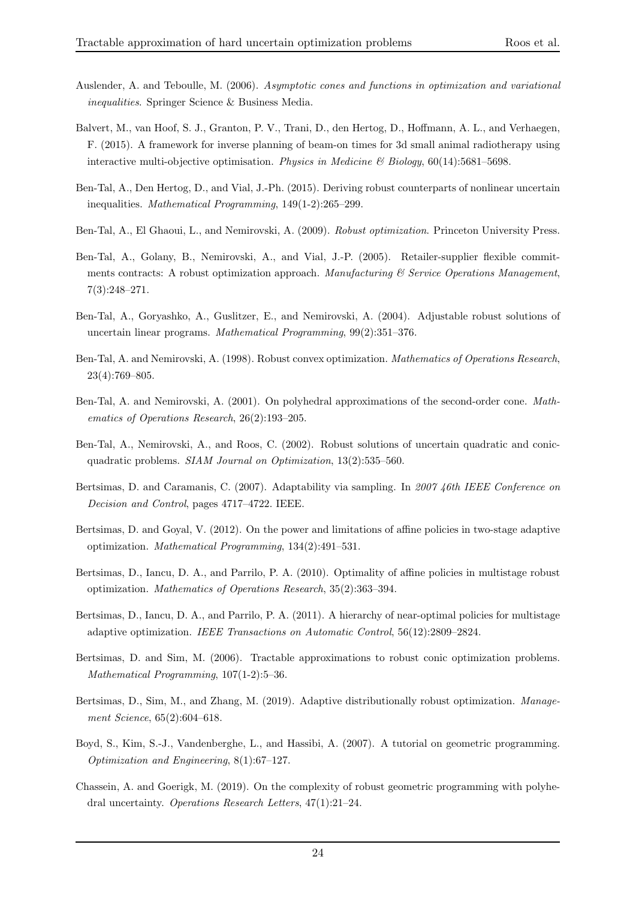- Auslender, A. and Teboulle, M. (2006). Asymptotic cones and functions in optimization and variational inequalities. Springer Science & Business Media.
- Balvert, M., van Hoof, S. J., Granton, P. V., Trani, D., den Hertog, D., Hoffmann, A. L., and Verhaegen, F. (2015). A framework for inverse planning of beam-on times for 3d small animal radiotherapy using interactive multi-objective optimisation. Physics in Medicine  $\mathcal{B}'$  Biology, 60(14):5681–5698.
- Ben-Tal, A., Den Hertog, D., and Vial, J.-Ph. (2015). Deriving robust counterparts of nonlinear uncertain inequalities. Mathematical Programming, 149(1-2):265–299.
- Ben-Tal, A., El Ghaoui, L., and Nemirovski, A. (2009). Robust optimization. Princeton University Press.
- Ben-Tal, A., Golany, B., Nemirovski, A., and Vial, J.-P. (2005). Retailer-supplier flexible commitments contracts: A robust optimization approach. Manufacturing  $\mathcal C$  Service Operations Manugement, 7(3):248–271.
- Ben-Tal, A., Goryashko, A., Guslitzer, E., and Nemirovski, A. (2004). Adjustable robust solutions of uncertain linear programs. Mathematical Programming, 99(2):351–376.
- Ben-Tal, A. and Nemirovski, A. (1998). Robust convex optimization. Mathematics of Operations Research, 23(4):769–805.
- Ben-Tal, A. and Nemirovski, A. (2001). On polyhedral approximations of the second-order cone. Mathematics of Operations Research, 26(2):193–205.
- Ben-Tal, A., Nemirovski, A., and Roos, C. (2002). Robust solutions of uncertain quadratic and conicquadratic problems. SIAM Journal on Optimization, 13(2):535–560.
- Bertsimas, D. and Caramanis, C. (2007). Adaptability via sampling. In 2007 46th IEEE Conference on Decision and Control, pages 4717–4722. IEEE.
- Bertsimas, D. and Goyal, V. (2012). On the power and limitations of affine policies in two-stage adaptive optimization. Mathematical Programming, 134(2):491–531.
- Bertsimas, D., Iancu, D. A., and Parrilo, P. A. (2010). Optimality of affine policies in multistage robust optimization. Mathematics of Operations Research, 35(2):363–394.
- Bertsimas, D., Iancu, D. A., and Parrilo, P. A. (2011). A hierarchy of near-optimal policies for multistage adaptive optimization. IEEE Transactions on Automatic Control, 56(12):2809–2824.
- Bertsimas, D. and Sim, M. (2006). Tractable approximations to robust conic optimization problems. Mathematical Programming, 107(1-2):5–36.
- Bertsimas, D., Sim, M., and Zhang, M. (2019). Adaptive distributionally robust optimization. Management Science, 65(2):604–618.
- Boyd, S., Kim, S.-J., Vandenberghe, L., and Hassibi, A. (2007). A tutorial on geometric programming. Optimization and Engineering, 8(1):67–127.
- Chassein, A. and Goerigk, M. (2019). On the complexity of robust geometric programming with polyhedral uncertainty. Operations Research Letters, 47(1):21–24.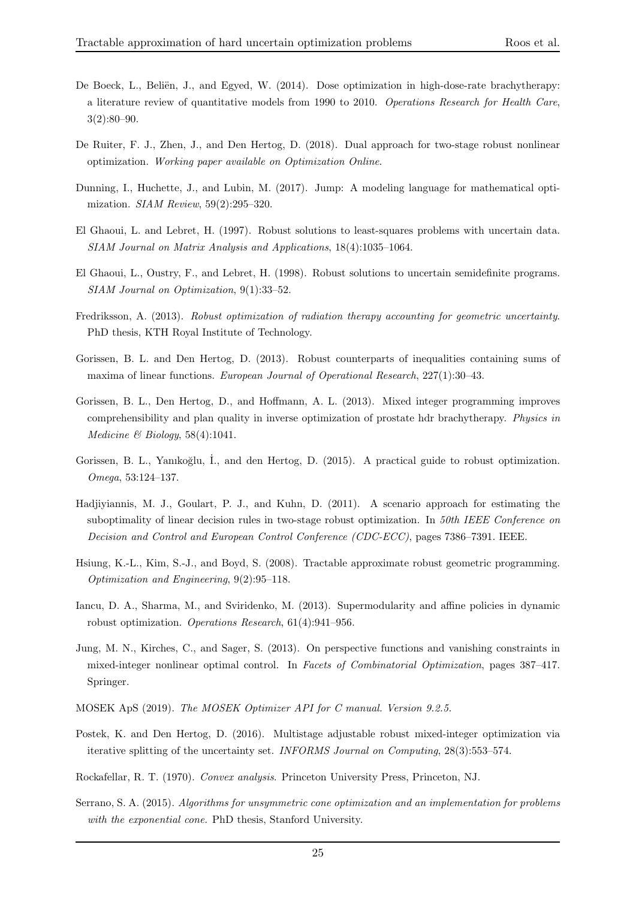- De Boeck, L., Beliën, J., and Egyed, W. (2014). Dose optimization in high-dose-rate brachytherapy: a literature review of quantitative models from 1990 to 2010. Operations Research for Health Care, 3(2):80–90.
- De Ruiter, F. J., Zhen, J., and Den Hertog, D. (2018). Dual approach for two-stage robust nonlinear optimization. Working paper available on Optimization Online.
- Dunning, I., Huchette, J., and Lubin, M. (2017). Jump: A modeling language for mathematical optimization. SIAM Review, 59(2):295–320.
- El Ghaoui, L. and Lebret, H. (1997). Robust solutions to least-squares problems with uncertain data. SIAM Journal on Matrix Analysis and Applications, 18(4):1035–1064.
- El Ghaoui, L., Oustry, F., and Lebret, H. (1998). Robust solutions to uncertain semidefinite programs. SIAM Journal on Optimization, 9(1):33–52.
- Fredriksson, A. (2013). Robust optimization of radiation therapy accounting for geometric uncertainty. PhD thesis, KTH Royal Institute of Technology.
- Gorissen, B. L. and Den Hertog, D. (2013). Robust counterparts of inequalities containing sums of maxima of linear functions. European Journal of Operational Research, 227(1):30–43.
- Gorissen, B. L., Den Hertog, D., and Hoffmann, A. L. (2013). Mixed integer programming improves comprehensibility and plan quality in inverse optimization of prostate hdr brachytherapy. Physics in Medicine & Biology,  $58(4):1041$ .
- Gorissen, B. L., Yanıkoğlu, İ., and den Hertog, D. (2015). A practical guide to robust optimization. Omega, 53:124–137.
- Hadjiyiannis, M. J., Goulart, P. J., and Kuhn, D. (2011). A scenario approach for estimating the suboptimality of linear decision rules in two-stage robust optimization. In 50th IEEE Conference on Decision and Control and European Control Conference (CDC-ECC), pages 7386–7391. IEEE.
- Hsiung, K.-L., Kim, S.-J., and Boyd, S. (2008). Tractable approximate robust geometric programming. Optimization and Engineering, 9(2):95–118.
- Iancu, D. A., Sharma, M., and Sviridenko, M. (2013). Supermodularity and affine policies in dynamic robust optimization. Operations Research, 61(4):941–956.
- Jung, M. N., Kirches, C., and Sager, S. (2013). On perspective functions and vanishing constraints in mixed-integer nonlinear optimal control. In Facets of Combinatorial Optimization, pages 387–417. Springer.
- MOSEK ApS (2019). The MOSEK Optimizer API for C manual. Version 9.2.5.
- Postek, K. and Den Hertog, D. (2016). Multistage adjustable robust mixed-integer optimization via iterative splitting of the uncertainty set. INFORMS Journal on Computing, 28(3):553–574.
- Rockafellar, R. T. (1970). Convex analysis. Princeton University Press, Princeton, NJ.
- Serrano, S. A. (2015). Algorithms for unsymmetric cone optimization and an implementation for problems with the exponential cone. PhD thesis, Stanford University.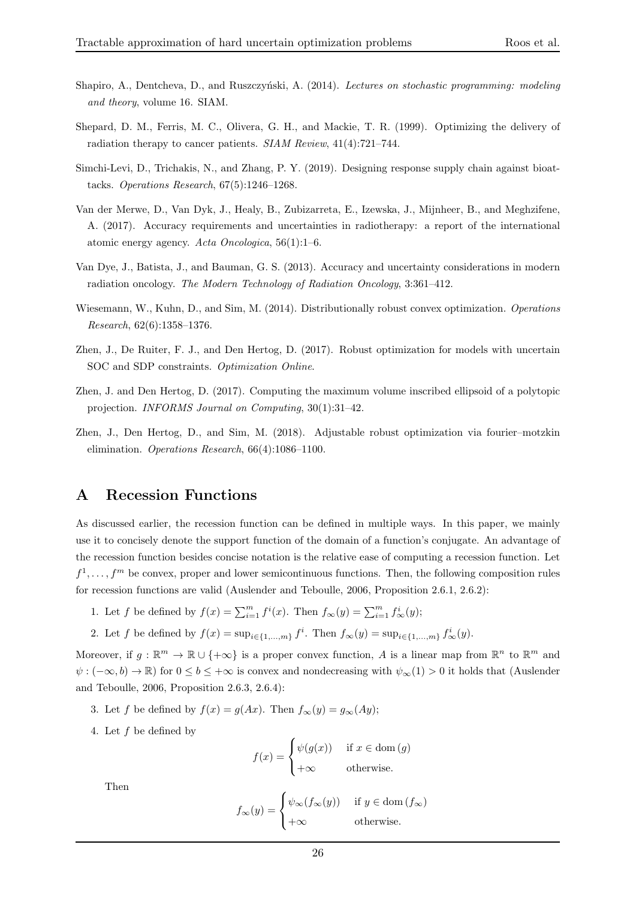- Shapiro, A., Dentcheva, D., and Ruszczyński, A. (2014). Lectures on stochastic programming: modeling and theory, volume 16. SIAM.
- Shepard, D. M., Ferris, M. C., Olivera, G. H., and Mackie, T. R. (1999). Optimizing the delivery of radiation therapy to cancer patients. SIAM Review, 41(4):721–744.
- Simchi-Levi, D., Trichakis, N., and Zhang, P. Y. (2019). Designing response supply chain against bioattacks. Operations Research, 67(5):1246–1268.
- Van der Merwe, D., Van Dyk, J., Healy, B., Zubizarreta, E., Izewska, J., Mijnheer, B., and Meghzifene, A. (2017). Accuracy requirements and uncertainties in radiotherapy: a report of the international atomic energy agency. Acta Oncologica, 56(1):1–6.
- Van Dye, J., Batista, J., and Bauman, G. S. (2013). Accuracy and uncertainty considerations in modern radiation oncology. The Modern Technology of Radiation Oncology, 3:361–412.
- Wiesemann, W., Kuhn, D., and Sim, M. (2014). Distributionally robust convex optimization. Operations Research, 62(6):1358–1376.
- Zhen, J., De Ruiter, F. J., and Den Hertog, D. (2017). Robust optimization for models with uncertain SOC and SDP constraints. Optimization Online.
- Zhen, J. and Den Hertog, D. (2017). Computing the maximum volume inscribed ellipsoid of a polytopic projection. INFORMS Journal on Computing, 30(1):31–42.
- Zhen, J., Den Hertog, D., and Sim, M. (2018). Adjustable robust optimization via fourier–motzkin elimination. Operations Research, 66(4):1086–1100.

## A Recession Functions

As discussed earlier, the recession function can be defined in multiple ways. In this paper, we mainly use it to concisely denote the support function of the domain of a function's conjugate. An advantage of the recession function besides concise notation is the relative ease of computing a recession function. Let  $f^1, \ldots, f^m$  be convex, proper and lower semicontinuous functions. Then, the following composition rules for recession functions are valid (Auslender and Teboulle, 2006, Proposition 2.6.1, 2.6.2):

- 1. Let f be defined by  $f(x) = \sum_{i=1}^{m} f^{i}(x)$ . Then  $f_{\infty}(y) = \sum_{i=1}^{m} f^{i}_{\infty}(y)$ ;
- 2. Let f be defined by  $f(x) = \sup_{i \in \{1,...,m\}} f^i$ . Then  $f_{\infty}(y) = \sup_{i \in \{1,...,m\}} f^i_{\infty}(y)$ .

Moreover, if  $g : \mathbb{R}^m \to \mathbb{R} \cup \{+\infty\}$  is a proper convex function, A is a linear map from  $\mathbb{R}^n$  to  $\mathbb{R}^m$  and  $\psi$ :  $(-\infty, b) \to \mathbb{R}$ ) for  $0 \leq b \leq +\infty$  is convex and nondecreasing with  $\psi_{\infty}(1) > 0$  it holds that (Auslender and Teboulle, 2006, Proposition 2.6.3, 2.6.4):

- 3. Let f be defined by  $f(x) = g(Ax)$ . Then  $f_{\infty}(y) = g_{\infty}(Ay)$ ;
- 4. Let f be defined by

$$
f(x) = \begin{cases} \psi(g(x)) & \text{if } x \in \text{dom}(g) \\ +\infty & \text{otherwise.} \end{cases}
$$

Then

$$
f_{\infty}(y) = \begin{cases} \psi_{\infty}(f_{\infty}(y)) & \text{if } y \in \text{dom}(f_{\infty}) \\ +\infty & \text{otherwise.} \end{cases}
$$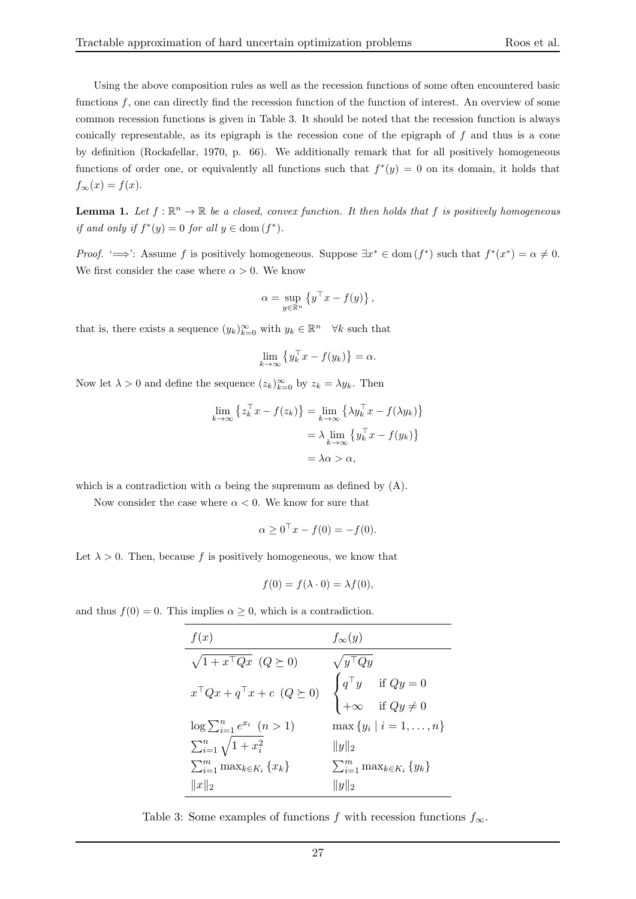Using the above composition rules as well as the recession functions of some often encountered basic functions f, one can directly find the recession function of the function of interest. An overview of some common recession functions is given in Table 3. It should be noted that the recession function is always conically representable, as its epigraph is the recession cone of the epigraph of  $f$  and thus is a cone by definition (Rockafellar, 1970, p. 66). We additionally remark that for all positively homogeneous functions of order one, or equivalently all functions such that  $f^*(y) = 0$  on its domain, it holds that  $f_{\infty}(x) = f(x).$ 

**Lemma 1.** Let  $f : \mathbb{R}^n \to \mathbb{R}$  be a closed, convex function. It then holds that f is positively homogeneous if and only if  $f^*(y) = 0$  for all  $y \in \text{dom}(f^*)$ .

*Proof.* ' $\implies$ ': Assume f is positively homogeneous. Suppose  $\exists x^* \in \text{dom}(f^*)$  such that  $f^*(x^*) = \alpha \neq 0$ . We first consider the case where  $\alpha > 0$ . We know

$$
\alpha = \sup_{y \in \mathbb{R}^n} \left\{ y^\top x - f(y) \right\},\
$$

that is, there exists a sequence  $(y_k)_{k=0}^{\infty}$  with  $y_k \in \mathbb{R}^n$   $\forall k$  such that

$$
\lim_{k \to \infty} \left\{ y_k^{\top} x - f(y_k) \right\} = \alpha.
$$

Now let  $\lambda > 0$  and define the sequence  $(z_k)_{k=0}^{\infty}$  by  $z_k = \lambda y_k$ . Then

$$
\lim_{k \to \infty} \left\{ z_k^{\top} x - f(z_k) \right\} = \lim_{k \to \infty} \left\{ \lambda y_k^{\top} x - f(\lambda y_k) \right\}
$$

$$
= \lambda \lim_{k \to \infty} \left\{ y_k^{\top} x - f(y_k) \right\}
$$

$$
= \lambda \alpha > \alpha,
$$

which is a contradiction with  $\alpha$  being the supremum as defined by (A).

Now consider the case where  $\alpha < 0$ . We know for sure that

$$
\alpha \ge 0^{\top} x - f(0) = -f(0).
$$

Let  $\lambda > 0$ . Then, because f is positively homogeneous, we know that

$$
f(0) = f(\lambda \cdot 0) = \lambda f(0),
$$

and thus  $f(0) = 0$ . This implies  $\alpha \geq 0$ , which is a contradiction.

| f(x)                                           | $f_{\infty}(y)$                                                                            |
|------------------------------------------------|--------------------------------------------------------------------------------------------|
| $\sqrt{1+x^\top Q}x\ (Q\succeq 0)$             | $\sqrt{y^{\top}Qy}$                                                                        |
| $x^{\top}Qx + q^{\top}x + c \ \ (Q \succeq 0)$ | $\begin{cases} q^\top y & \text{if } Qy = 0 \\ +\infty & \text{if } Qy \neq 0 \end{cases}$ |
| $\log \sum_{i=1}^{n} e^{x_i} \quad (n>1)$      | $\max \{y_i \mid i = 1, \ldots, n\}$                                                       |
| $\sum_{i=1}^n \sqrt{1+x_i^2}$                  | $  y  _2$                                                                                  |
| $\sum_{i=1}^m \max_{k \in K_i} \{x_k\}$        | $\sum_{i=1}^m \max_{k \in K_i} \{y_k\}$                                                    |
| $  x  _2$                                      | $  y  _2$                                                                                  |

Table 3: Some examples of functions f with recession functions  $f_{\infty}$ .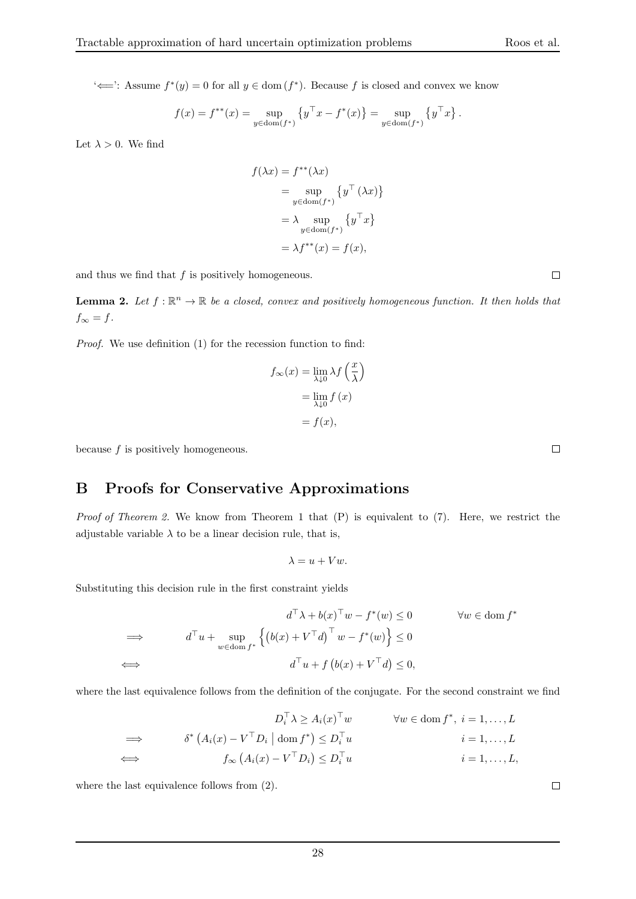$\diff$ : Assume  $f^*(y) = 0$  for all  $y \in \text{dom}(f^*)$ . Because f is closed and convex we know

$$
f(x) = f^{**}(x) = \sup_{y \in \text{dom}(f^*)} \left\{ y^\top x - f^*(x) \right\} = \sup_{y \in \text{dom}(f^*)} \left\{ y^\top x \right\}.
$$

Let  $\lambda > 0$ . We find

$$
f(\lambda x) = f^{**}(\lambda x)
$$
  
=  $\sup_{y \in \text{dom}(f^*)} \{y^\top (\lambda x)\}$   
=  $\lambda \sup_{y \in \text{dom}(f^*)} \{y^\top x\}$   
=  $\lambda f^{**}(x) = f(x)$ ,

and thus we find that  $f$  is positively homogeneous.

**Lemma 2.** Let  $f : \mathbb{R}^n \to \mathbb{R}$  be a closed, convex and positively homogeneous function. It then holds that  $f_{\infty} = f.$ 

Proof. We use definition (1) for the recession function to find:

$$
f_{\infty}(x) = \lim_{\lambda \downarrow 0} \lambda f\left(\frac{x}{\lambda}\right)
$$

$$
= \lim_{\lambda \downarrow 0} f(x)
$$

$$
= f(x),
$$

because f is positively homogeneous.

## B Proofs for Conservative Approximations

*Proof of Theorem 2.* We know from Theorem 1 that  $(P)$  is equivalent to  $(7)$ . Here, we restrict the adjustable variable  $\lambda$  to be a linear decision rule, that is,

$$
\lambda = u + Vw.
$$

Substituting this decision rule in the first constraint yields

$$
d^{\top} \lambda + b(x)^{\top} w - f^*(w) \le 0 \qquad \forall w \in \text{dom } f^*
$$
  
\n
$$
\implies d^{\top} u + \sup_{w \in \text{dom } f^*} \left\{ \left( b(x) + V^{\top} d \right)^{\top} w - f^*(w) \right\} \le 0
$$
  
\n
$$
\iff d^{\top} u + f \left( b(x) + V^{\top} d \right) \le 0,
$$

where the last equivalence follows from the definition of the conjugate. For the second constraint we find

$$
D_i^{\top} \lambda \ge A_i(x)^{\top} w \qquad \forall w \in \text{dom } f^*, i = 1, ..., L
$$
  
\n
$$
\implies \qquad \delta^* (A_i(x) - V^{\top} D_i \mid \text{dom } f^*) \le D_i^{\top} u \qquad i = 1, ..., L
$$
  
\n
$$
\iff \qquad f_{\infty} (A_i(x) - V^{\top} D_i) \le D_i^{\top} u \qquad i = 1, ..., L,
$$

where the last equivalence follows from (2).

 $\Box$ 

 $\Box$ 

 $\Box$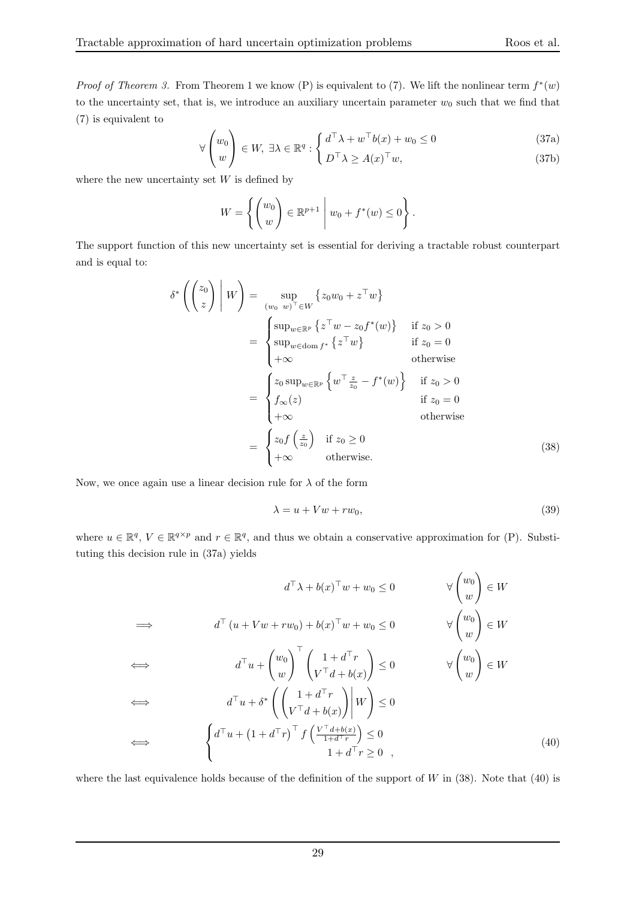*Proof of Theorem 3.* From Theorem 1 we know (P) is equivalent to (7). We lift the nonlinear term  $f^*(w)$ to the uncertainty set, that is, we introduce an auxiliary uncertain parameter  $w_0$  such that we find that (7) is equivalent to

$$
\forall \begin{pmatrix} w_0 \\ w \end{pmatrix} \in W, \ \exists \lambda \in \mathbb{R}^q : \begin{cases} d^\top \lambda + w^\top b(x) + w_0 \le 0 \\ D^\top \lambda \ge A(x)^\top w, \end{cases} \tag{37a}
$$

where the new uncertainty set  $W$  is defined by

$$
W = \left\{ \begin{pmatrix} w_0 \\ w \end{pmatrix} \in \mathbb{R}^{p+1} \mid w_0 + f^*(w) \le 0 \right\}.
$$

The support function of this new uncertainty set is essential for deriving a tractable robust counterpart and is equal to:

$$
\delta^* \left( \begin{pmatrix} z_0 \\ z \end{pmatrix} \middle| W \right) = \sup_{(w_0 - w)^\top \in W} \{ z_0 w_0 + z^\top w \}
$$
  
\n
$$
= \begin{cases} \sup_{w \in \mathbb{R}^p} \{ z^\top w - z_0 f^*(w) \} & \text{if } z_0 > 0 \\ \sup_{w \in \text{dom } f^*} \{ z^\top w \} & \text{if } z_0 = 0 \\ +\infty & \text{otherwise} \end{cases}
$$
  
\n
$$
= \begin{cases} z_0 \sup_{w \in \mathbb{R}^p} \{ w^\top \underline{z} - f^*(w) \} & \text{if } z_0 > 0 \\ f_\infty(z) & \text{if } z_0 = 0 \\ +\infty & \text{otherwise} \end{cases}
$$
  
\n
$$
= \begin{cases} z_0 f \left( \frac{z}{z_0} \right) & \text{if } z_0 \ge 0 \\ +\infty & \text{otherwise} \end{cases}
$$
  
\n
$$
= \begin{cases} z_0 f \left( \frac{z}{z_0} \right) & \text{if } z_0 \ge 0 \\ +\infty & \text{otherwise.} \end{cases}
$$
  
\n(38)

Now, we once again use a linear decision rule for  $\lambda$  of the form

$$
\lambda = u + Vw + rw_0,\tag{39}
$$

 $\overline{ }$ 

where  $u \in \mathbb{R}^q$ ,  $V \in \mathbb{R}^{q \times p}$  and  $r \in \mathbb{R}^q$ , and thus we obtain a conservative approximation for (P). Substituting this decision rule in (37a) yields

$$
d^{\top}\lambda + b(x)^{\top}w + w_0 \le 0 \qquad \forall \begin{pmatrix} w_0 \\ w \end{pmatrix} \in W
$$
  
\n
$$
\implies d^{\top}(u + Vw + rw_0) + b(x)^{\top}w + w_0 \le 0 \qquad \forall \begin{pmatrix} w_0 \\ w \end{pmatrix} \in W
$$
  
\n
$$
\iff d^{\top}u + \begin{pmatrix} w_0 \\ w \end{pmatrix}^{\top} \begin{pmatrix} 1 + d^{\top}r \\ v^{\top}d + b(x) \end{pmatrix} \le 0 \qquad \forall \begin{pmatrix} w_0 \\ w \end{pmatrix} \in W
$$
  
\n
$$
\iff d^{\top}u + \delta^* \left( \begin{pmatrix} 1 + d^{\top}r \\ v^{\top}d + b(x) \end{pmatrix} \middle| W \right) \le 0
$$
  
\n
$$
\iff \begin{cases} d^{\top}u + (1 + d^{\top}r)^{\top} f \left( \frac{V^{\top}d + b(x)}{1 + d^{\top}r} \right) \le 0 \\ 1 + d^{\top}r \ge 0 \end{cases}
$$
\n(40)

where the last equivalence holds because of the definition of the support of W in  $(38)$ . Note that  $(40)$  is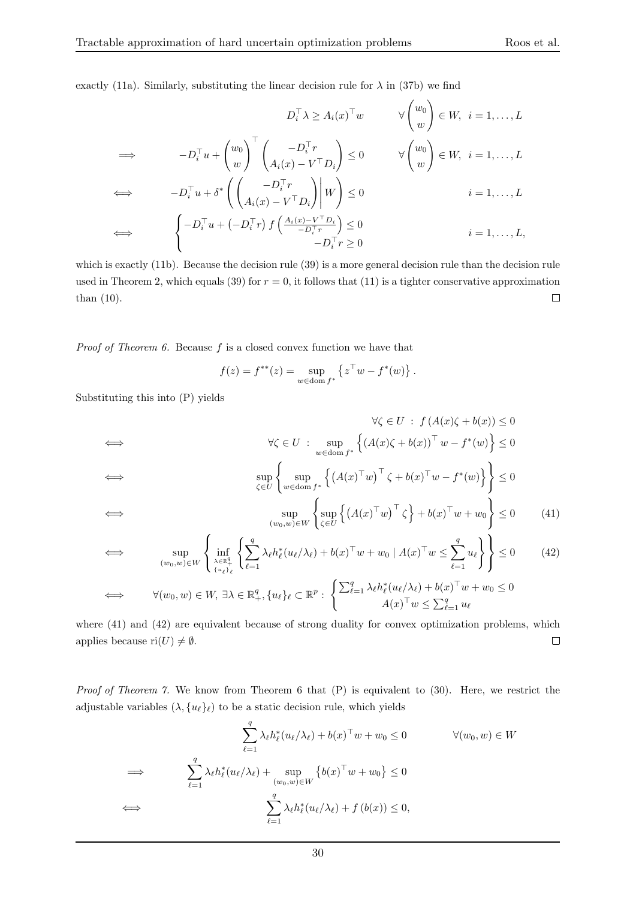exactly (11a). Similarly, substituting the linear decision rule for  $\lambda$  in (37b) we find

$$
D_i^{\top} \lambda \ge A_i(x)^{\top} w \qquad \forall \begin{pmatrix} w_0 \\ w \end{pmatrix} \in W, \ i = 1, ..., L
$$
  
\n
$$
\implies -D_i^{\top} u + \begin{pmatrix} w_0 \\ w \end{pmatrix}^{\top} \begin{pmatrix} -D_i^{\top} r \\ A_i(x) - V^{\top} D_i \end{pmatrix} \le 0 \qquad \forall \begin{pmatrix} w_0 \\ w \end{pmatrix} \in W, \ i = 1, ..., L
$$
  
\n
$$
\iff -D_i^{\top} u + \delta^* \left( \begin{pmatrix} -D_i^{\top} r \\ A_i(x) - V^{\top} D_i \end{pmatrix} \middle| W \right) \le 0 \qquad i = 1, ..., L
$$
  
\n
$$
\iff \begin{cases} -D_i^{\top} u + (-D_i^{\top} r) f \left( \frac{A_i(x) - V^{\top} D_i}{-D_i^{\top} r} \right) \le 0 \\ -D_i^{\top} r \ge 0 \end{cases} \qquad i = 1, ..., L,
$$

which is exactly (11b). Because the decision rule (39) is a more general decision rule than the decision rule used in Theorem 2, which equals (39) for  $r = 0$ , it follows that (11) is a tighter conservative approximation  $\Box$ than (10).

*Proof of Theorem 6.* Because  $f$  is a closed convex function we have that

$$
f(z) = f^{**}(z) = \sup_{w \in \text{dom } f^*} \left\{ z^{\top} w - f^*(w) \right\}.
$$

Substituting this into (P) yields

$$
\forall \zeta \in U : f(A(x)\zeta + b(x)) \le 0
$$
  
\n
$$
\iff \forall \zeta \in U : \sup_{w \in \text{dom } f^*} \left\{ (A(x)\zeta + b(x))^{\top} w - f^*(w) \right\} \le 0
$$
  
\n
$$
\iff \sup_{\zeta \in U} \left\{ \sup_{w \in \text{dom } f^*} \left\{ (A(x)\tau w)^\top \zeta + b(x)^\top w - f^*(w) \right\} \right\} \le 0
$$
  
\n
$$
\iff \sup_{(w_0, w) \in W} \left\{ \sup_{\zeta \in U} \left\{ (A(x)\tau w)^\top \zeta \right\} + b(x)^\top w + w_0 \right\} \le 0 \tag{41}
$$

$$
\iff \qquad \sup_{(w_0, w) \in W} \left\{ \inf_{\lambda \in \mathbb{R}_+^q \atop \{u_\ell\}_\ell} \left\{ \sum_{\ell=1}^q \lambda_\ell h_\ell^*(u_\ell/\lambda_\ell) + b(x)^\top w + w_0 \mid A(x)^\top w \le \sum_{\ell=1}^q u_\ell \right\} \right\} \le 0 \tag{42}
$$

$$
\iff \forall (w_0, w) \in W, \exists \lambda \in \mathbb{R}_+^q, \{u_\ell\}_\ell \subset \mathbb{R}^p : \begin{cases} \sum_{\ell=1}^q \lambda_\ell h_\ell^*(u_\ell/\lambda_\ell) + b(x)^\top w + w_0 \leq 0 \\ A(x)^\top w \leq \sum_{\ell=1}^q u_\ell \end{cases}
$$

where  $(41)$  and  $(42)$  are equivalent because of strong duality for convex optimization problems, which applies because ri $(U) \neq \emptyset$ .  $\Box$ 

Proof of Theorem 7. We know from Theorem 6 that (P) is equivalent to (30). Here, we restrict the adjustable variables  $(\lambda, \{u_\ell\}_\ell)$  to be a static decision rule, which yields

$$
\sum_{\ell=1}^{q} \lambda_{\ell} h_{\ell}^{*}(u_{\ell}/\lambda_{\ell}) + b(x)^{\top} w + w_{0} \leq 0 \qquad \forall (w_{0}, w) \in W
$$
  
\n
$$
\implies \qquad \sum_{\ell=1}^{q} \lambda_{\ell} h_{\ell}^{*}(u_{\ell}/\lambda_{\ell}) + \sup_{(w_{0}, w) \in W} \{b(x)^{\top} w + w_{0}\} \leq 0
$$
  
\n
$$
\iff \qquad \sum_{\ell=1}^{q} \lambda_{\ell} h_{\ell}^{*}(u_{\ell}/\lambda_{\ell}) + f(b(x)) \leq 0,
$$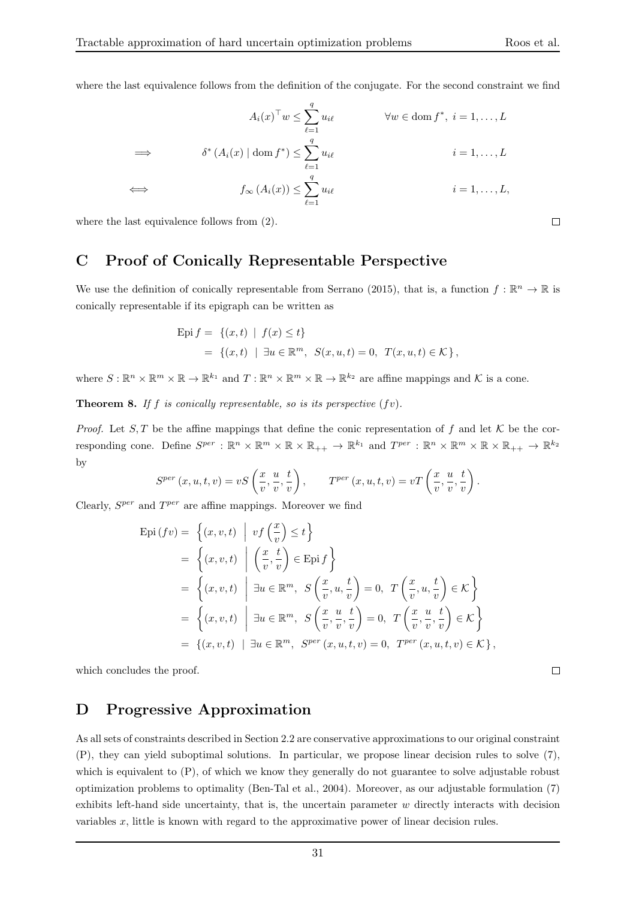where the last equivalence follows from the definition of the conjugate. For the second constraint we find

$$
A_i(x)^\top w \le \sum_{\ell=1}^q u_{i\ell} \qquad \forall w \in \text{dom } f^*, \ i = 1, ..., L
$$
  
\n
$$
\implies \qquad \delta^* (A_i(x) \mid \text{dom } f^*) \le \sum_{\ell=1}^q u_{i\ell} \qquad i = 1, ..., L
$$
  
\n
$$
\iff \qquad f_\infty (A_i(x)) \le \sum_{\ell=1}^q u_{i\ell} \qquad i = 1, ..., L,
$$

where the last equivalence follows from (2).

## C Proof of Conically Representable Perspective

We use the definition of conically representable from Serrano (2015), that is, a function  $f : \mathbb{R}^n \to \mathbb{R}$  is conically representable if its epigraph can be written as

Epi 
$$
f = \{(x, t) | f(x) \le t\}
$$
  
=  $\{(x, t) | \exists u \in \mathbb{R}^m, S(x, u, t) = 0, T(x, u, t) \in \mathcal{K}\},$ 

where  $S: \mathbb{R}^n \times \mathbb{R}^m \times \mathbb{R} \to \mathbb{R}^{k_1}$  and  $T: \mathbb{R}^n \times \mathbb{R}^m \times \mathbb{R} \to \mathbb{R}^{k_2}$  are affine mappings and K is a cone.

**Theorem 8.** If f is conically representable, so is its perspective  $(fv)$ .

*Proof.* Let S, T be the affine mappings that define the conic representation of f and let K be the corresponding cone. Define  $S^{per}: \mathbb{R}^n \times \mathbb{R}^m \times \mathbb{R} \times \mathbb{R}_{++} \to \mathbb{R}^{k_1}$  and  $T^{per}: \mathbb{R}^n \times \mathbb{R}^m \times \mathbb{R} \times \mathbb{R}_{++} \to \mathbb{R}^{k_2}$ by

$$
S^{per}\left(x,u,t,v\right)=vS\left(\frac{x}{v},\frac{u}{v},\frac{t}{v}\right),\qquad T^{per}\left(x,u,t,v\right)=vT\left(\frac{x}{v},\frac{u}{v},\frac{t}{v}\right).
$$

Clearly,  $S^{per}$  and  $T^{per}$  are affine mappings. Moreover we find

$$
\begin{aligned}\n\text{Epi}(fv) &= \left\{ (x, v, t) \middle| \text{ } vf\left(\frac{x}{v}\right) \le t \right\} \\
&= \left\{ (x, v, t) \middle| \left(\frac{x}{v}, \frac{t}{v}\right) \in \text{Epi} \right\} \\
&= \left\{ (x, v, t) \middle| \exists u \in \mathbb{R}^m, \ S\left(\frac{x}{v}, u, \frac{t}{v}\right) = 0, \ T\left(\frac{x}{v}, u, \frac{t}{v}\right) \in \mathcal{K} \right\} \\
&= \left\{ (x, v, t) \middle| \exists u \in \mathbb{R}^m, \ S\left(\frac{x}{v}, \frac{u}{v}, \frac{t}{v}\right) = 0, \ T\left(\frac{x}{v}, \frac{u}{v}, \frac{t}{v}\right) \in \mathcal{K} \right\} \\
&= \left\{ (x, v, t) \middle| \exists u \in \mathbb{R}^m, \ S^{per}(x, u, t, v) = 0, \ T^{per}(x, u, t, v) \in \mathcal{K} \right\},\n\end{aligned}
$$

which concludes the proof.

## D Progressive Approximation

As all sets of constraints described in Section 2.2 are conservative approximations to our original constraint (P), they can yield suboptimal solutions. In particular, we propose linear decision rules to solve (7), which is equivalent to  $(P)$ , of which we know they generally do not guarantee to solve adjustable robust optimization problems to optimality (Ben-Tal et al., 2004). Moreover, as our adjustable formulation (7) exhibits left-hand side uncertainty, that is, the uncertain parameter  $w$  directly interacts with decision variables x, little is known with regard to the approximative power of linear decision rules.

 $\Box$ 

 $\Box$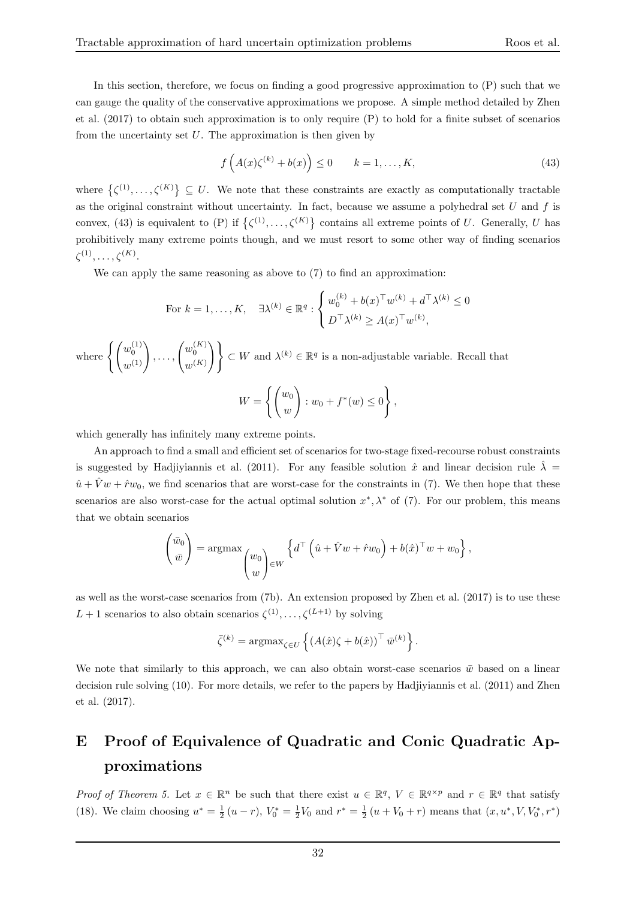In this section, therefore, we focus on finding a good progressive approximation to (P) such that we can gauge the quality of the conservative approximations we propose. A simple method detailed by Zhen et al. (2017) to obtain such approximation is to only require (P) to hold for a finite subset of scenarios from the uncertainty set  $U$ . The approximation is then given by

$$
f\left(A(x)\zeta^{(k)} + b(x)\right) \le 0 \qquad k = 1, \dots, K,\tag{43}
$$

where  $\{\zeta^{(1)},\ldots,\zeta^{(K)}\}\subseteq U$ . We note that these constraints are exactly as computationally tractable as the original constraint without uncertainty. In fact, because we assume a polyhedral set  $U$  and  $f$  is convex, (43) is equivalent to (P) if  $\{\zeta^{(1)},\ldots,\zeta^{(K)}\}$  contains all extreme points of U. Generally, U has prohibitively many extreme points though, and we must resort to some other way of finding scenarios  $\zeta^{(1)}, \ldots, \zeta^{(K)}.$ 

We can apply the same reasoning as above to (7) to find an approximation:

For 
$$
k = 1, ..., K
$$
,  $\exists \lambda^{(k)} \in \mathbb{R}^q : \begin{cases} w_0^{(k)} + b(x)^\top w^{(k)} + d^\top \lambda^{(k)} \leq 0 \\ D^\top \lambda^{(k)} \geq A(x)^\top w^{(k)}, \end{cases}$ 

where  $\left\{ \left( \begin{matrix} w_0^{(1)} \\ w_0^{(1)} \end{matrix} \right) \right\}$  $\left( \begin{matrix} w_0^{(1)}\ w^{(1)}\ w^{(1)} \end{matrix} \right), \ldots, \left( \begin{matrix} w_0^{(K)}\ w^{(K)}\ \end{matrix} \right)$  $\begin{Bmatrix} w_0^{(K)} \\ w^{(K)} \end{Bmatrix}$   $\Big\}$   $\subset W$  and  $\lambda^{(k)} \in \mathbb{R}^q$  is a non-adjustable variable. Recall that

$$
W = \left\{ \begin{pmatrix} w_0 \\ w \end{pmatrix} : w_0 + f^*(w) \le 0 \right\},\,
$$

which generally has infinitely many extreme points.

An approach to find a small and efficient set of scenarios for two-stage fixed-recourse robust constraints is suggested by Hadjiyiannis et al. (2011). For any feasible solution  $\hat{x}$  and linear decision rule  $\hat{\lambda}$  =  $\hat{u} + \hat{V}w + \hat{r}w_0$ , we find scenarios that are worst-case for the constraints in (7). We then hope that these scenarios are also worst-case for the actual optimal solution  $x^*, \lambda^*$  of (7). For our problem, this means that we obtain scenarios

$$
\begin{pmatrix} \bar{w}_0 \\ \bar{w} \end{pmatrix} = \operatorname{argmax} \begin{pmatrix} w_0 \\ w \end{pmatrix} \in W \begin{cases} d^\top \left( \hat{u} + \hat{V}w + \hat{r}w_0 \right) + b(\hat{x})^\top w + w_0 \end{cases},
$$

as well as the worst-case scenarios from (7b). An extension proposed by Zhen et al. (2017) is to use these  $L+1$  scenarios to also obtain scenarios  $\zeta^{(1)}, \ldots, \zeta^{(L+1)}$  by solving

$$
\bar{\zeta}^{(k)} = \operatorname{argmax}_{\zeta \in U} \left\{ \left( A(\hat{x})\zeta + b(\hat{x}) \right)^{\top} \bar{w}^{(k)} \right\}.
$$

We note that similarly to this approach, we can also obtain worst-case scenarios  $\bar{w}$  based on a linear decision rule solving (10). For more details, we refer to the papers by Hadjiyiannis et al. (2011) and Zhen et al. (2017).

# E Proof of Equivalence of Quadratic and Conic Quadratic Approximations

Proof of Theorem 5. Let  $x \in \mathbb{R}^n$  be such that there exist  $u \in \mathbb{R}^q$ ,  $V \in \mathbb{R}^{q \times p}$  and  $r \in \mathbb{R}^q$  that satisfy (18). We claim choosing  $u^* = \frac{1}{2}(u-r)$ ,  $V_0^* = \frac{1}{2}V_0$  and  $r^* = \frac{1}{2}(u+V_0+r)$  means that  $(x, u^*, V, V_0^*, r^*)$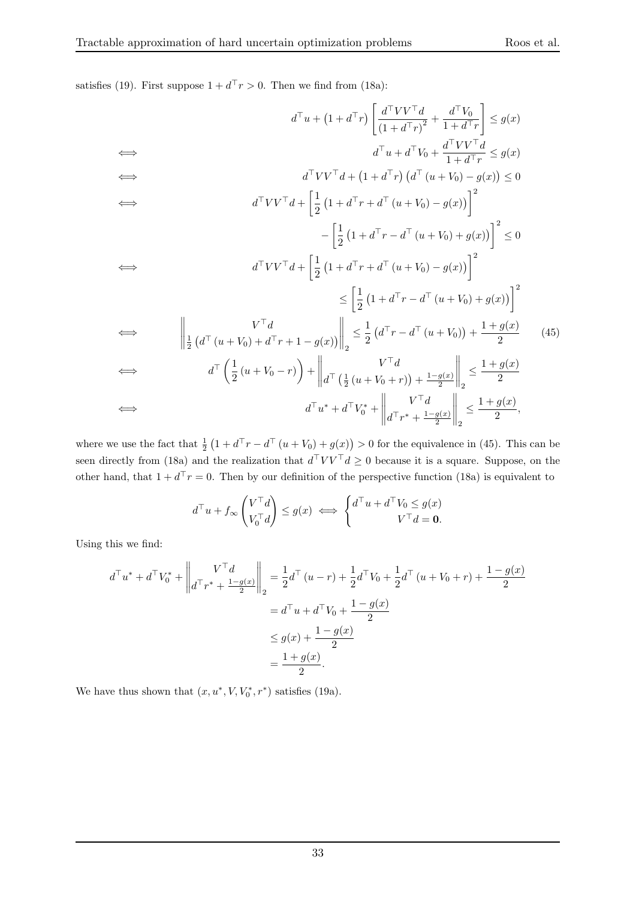satisfies (19). First suppose  $1 + d^{\top}r > 0$ . Then we find from (18a):

$$
d^{\top}u + (1 + d^{\top}r) \left[ \frac{d^{\top}VV^{\top}d}{(1 + d^{\top}r)^{2}} + \frac{d^{\top}V_{0}}{1 + d^{\top}r} \right] \leq g(x)
$$
\n
$$
d^{\top}u + d^{\top}V_{0} + \frac{d^{\top}VV^{\top}d}{1 + d^{\top}r} \leq g(x)
$$
\n
$$
d^{\top}VV^{\top}d + (1 + d^{\top}r) (d^{\top}(u + V_{0}) - g(x)) \leq 0
$$
\n
$$
d^{\top}VV^{\top}d + \left[ \frac{1}{2} (1 + d^{\top}r + d^{\top}(u + V_{0}) - g(x)) \right]^{2}
$$
\n
$$
- \left[ \frac{1}{2} (1 + d^{\top}r + d^{\top}(u + V_{0}) - g(x)) \right]^{2}
$$
\n
$$
\leq \left[ \frac{1}{2} (1 + d^{\top}r + d^{\top}(u + V_{0}) - g(x)) \right]^{2}
$$
\n
$$
\leq \left[ \frac{1}{2} (1 + d^{\top}r - d^{\top}(u + V_{0}) + g(x)) \right]^{2}
$$
\n
$$
\leq \left[ \frac{1}{2} (1 + d^{\top}r - d^{\top}(u + V_{0}) + g(x)) \right]^{2}
$$
\n
$$
\Leftrightarrow d^{\top}V^{\top}d
$$
\n
$$
d^{\top} \left( \frac{1}{2} (u + V_{0}) + d^{\top}r + 1 - g(x) \right) \Big|_{2} \leq \frac{1}{2} (d^{\top}r - d^{\top}(u + V_{0})) + \frac{1 + g(x)}{2} \qquad (45)
$$
\n
$$
\Leftrightarrow d^{\top} \left( \frac{1}{2} (u + V_{0} - r) \right) + \left\| d^{\top} \left( \frac{1}{2} (u + V_{0} + r) \right) + \frac{1 - g(x)}{2} \right\|_{2} \leq \frac{1 + g(x)}{2}
$$
\n
$$
\Leftrightarrow d^{\top}u^{*} + d^{\top}V_{0}^{*} + \left\| d^{\top}r^{*} + \frac{1 - g(x)}{2} \right\|_{2
$$

where we use the fact that  $\frac{1}{2}(1+d^{\top}r-d^{\top}(u+V_0)+g(x))>0$  for the equivalence in (45). This can be seen directly from (18a) and the realization that  $d^T V V^T d \geq 0$  because it is a square. Suppose, on the other hand, that  $1 + d^T r = 0$ . Then by our definition of the perspective function (18a) is equivalent to

$$
d^\top u + f_\infty \begin{pmatrix} V^\top d \\ V_0^\top d \end{pmatrix} \leq g(x) \iff \begin{cases} d^\top u + d^\top V_0 \leq g(x) \\ V^\top d = \mathbf{0}. \end{cases}
$$

Using this we find:

$$
d^{\top}u^* + d^{\top}V_0^* + \left\| \begin{matrix} V^{\top}d \\ d^{\top}r^* + \frac{1 - g(x)}{2} \end{matrix} \right\|_2 = \frac{1}{2}d^{\top}(u - r) + \frac{1}{2}d^{\top}V_0 + \frac{1}{2}d^{\top}(u + V_0 + r) + \frac{1 - g(x)}{2}
$$
  

$$
= d^{\top}u + d^{\top}V_0 + \frac{1 - g(x)}{2}
$$
  

$$
\leq g(x) + \frac{1 - g(x)}{2}
$$
  

$$
= \frac{1 + g(x)}{2}.
$$

We have thus shown that  $(x, u^*, V, V_0^*, r^*)$  satisfies (19a).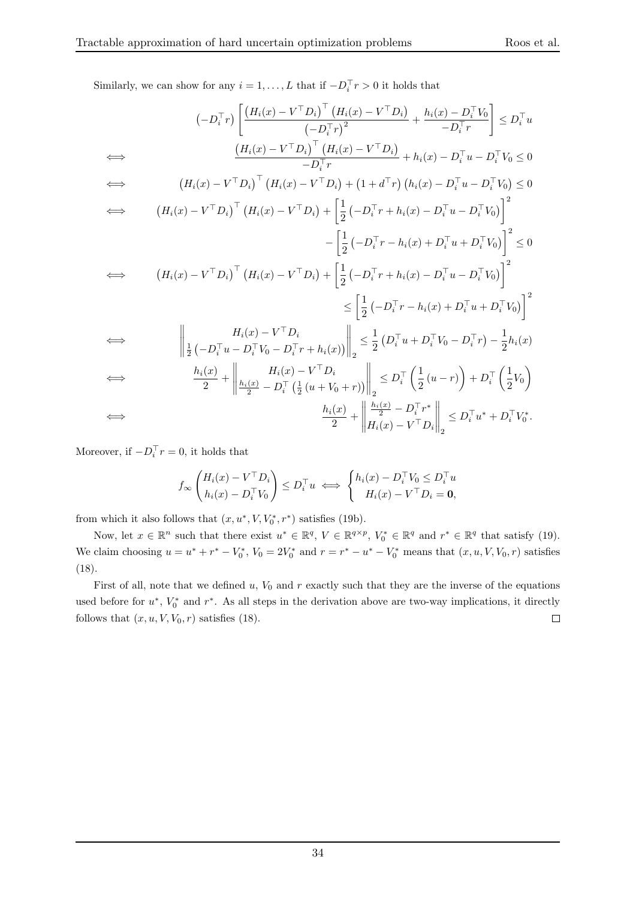Similarly, we can show for any  $i = 1, ..., L$  that if  $-D_i<sup>T</sup>r > 0$  it holds that

$$
(-D_i^{\top}r)\left[\frac{(H_i(x) - V^{\top}D_i)^{\top}(H_i(x) - V^{\top}D_i)}{(-D_i^{\top}r)^2} + \frac{h_i(x) - D_i^{\top}V_0}{-D_i^{\top}r}\right] \leq D_i^{\top}u
$$
\n
$$
\Leftrightarrow \qquad \frac{(H_i(x) - V^{\top}D_i)^{\top}(H_i(x) - V^{\top}D_i)}{-D_i^{\top}r} + h_i(x) - D_i^{\top}u - D_i^{\top}V_0 \leq 0
$$
\n
$$
\Leftrightarrow \qquad (H_i(x) - V^{\top}D_i)^{\top}(H_i(x) - V^{\top}D_i) + (1 + d^{\top}r)(h_i(x) - D_i^{\top}u - D_i^{\top}V_0) \leq 0
$$
\n
$$
\Leftrightarrow \qquad (H_i(x) - V^{\top}D_i)^{\top}(H_i(x) - V^{\top}D_i) + \left[\frac{1}{2}(-D_i^{\top}r + h_i(x) - D_i^{\top}u - D_i^{\top}V_0)\right]^2
$$
\n
$$
-\left[\frac{1}{2}(-D_i^{\top}r - h_i(x) + D_i^{\top}u + D_i^{\top}V_0)\right]^2 \leq 0
$$
\n
$$
\Leftrightarrow \qquad (H_i(x) - V^{\top}D_i)^{\top}(H_i(x) - V^{\top}D_i) + \left[\frac{1}{2}(-D_i^{\top}r + h_i(x) - D_i^{\top}u - D_i^{\top}V_0)\right]^2
$$
\n
$$
\leq \left[\frac{1}{2}(-D_i^{\top}r - h_i(x) + D_i^{\top}u + D_i^{\top}V_0)\right]^2
$$
\n
$$
\Leftrightarrow \qquad \frac{H_i(x) - V^{\top}D_i}{\frac{1}{2}(-D_i^{\top}u - D_i^{\top}V_0 - D_i^{\top}r + h_i(x))}\right\|_2 \leq \frac{1}{2}(D_i^{\top}u + D_i^{\top}V_0 - D_i^{\top}r) - \frac{1}{2}h_i(x)
$$
\n
$$
\Leftrightarrow \qquad \frac{h_i(x)}{2} + \left\|\frac{H_i(x) - V^{\top}D_i}{2} - D_i^{\top}(\frac{1}{2}(u + V_0 + r
$$

Moreover, if  $-D_i^{\top}r=0$ , it holds that

$$
f_{\infty}\left(\begin{matrix}H_i(x) - V^{\top}D_i \\ h_i(x) - D_i^{\top}V_0\end{matrix}\right) \leq D_i^{\top}u \iff \begin{cases}h_i(x) - D_i^{\top}V_0 \leq D_i^{\top}u \\ H_i(x) - V^{\top}D_i = \mathbf{0},\end{cases}
$$

from which it also follows that  $(x, u^*, V, V_0^*, r^*)$  satisfies (19b).

Now, let  $x \in \mathbb{R}^n$  such that there exist  $u^* \in \mathbb{R}^q$ ,  $V \in \mathbb{R}^{q \times p}$ ,  $V_0^* \in \mathbb{R}^q$  and  $r^* \in \mathbb{R}^q$  that satisfy (19). We claim choosing  $u = u^* + r^* - V_0^*$ ,  $V_0 = 2V_0^*$  and  $r = r^* - u^* - V_0^*$  means that  $(x, u, V, V_0, r)$  satisfies (18).

First of all, note that we defined  $u, V_0$  and r exactly such that they are the inverse of the equations used before for  $u^*$ ,  $V_0^*$  and  $r^*$ . As all steps in the derivation above are two-way implications, it directly follows that  $(x, u, V, V_0, r)$  satisfies (18).  $\Box$